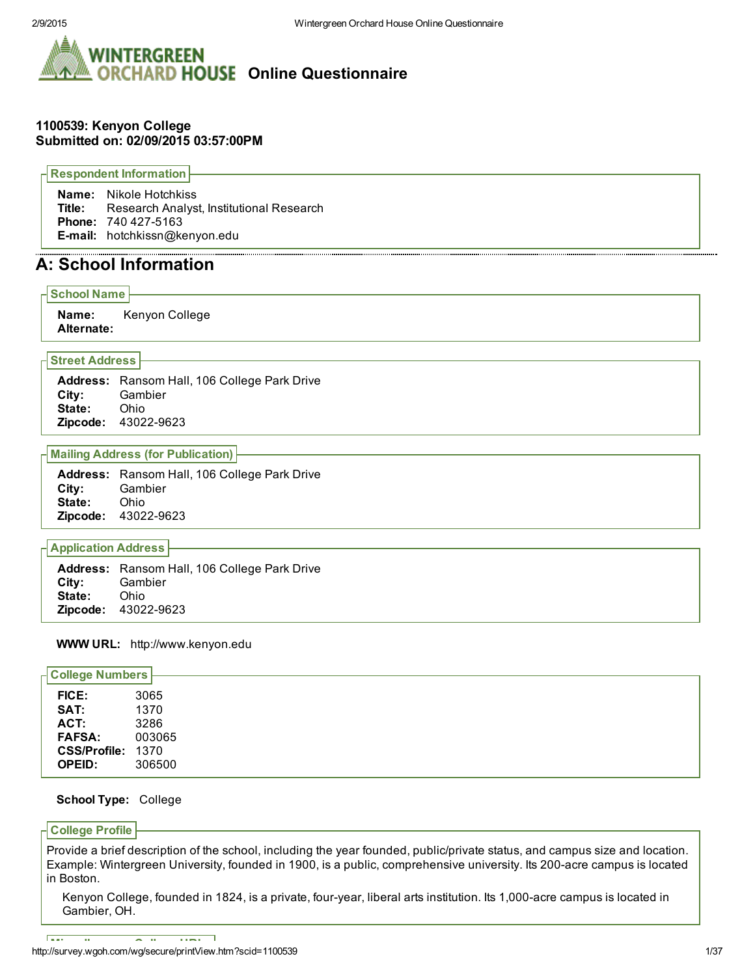

### 1100539: Kenyon College Submitted on: 02/09/2015 03:57:00PM

Respondent Information Name: Nikole Hotchkiss Title: Research Analyst, Institutional Research Phone: 740 427-5163 Email: hotchkissn@kenyon.edu

## A: School Information

School Name Name: Kenyon College Alternate:

#### Street Address

Address: Ransom Hall, 106 College Park Drive City: Gambier State: Ohio **Zipcode: 43022-9623** 

#### Mailing Address (for Publication)

| <b>Address:</b> Ransom Hall, 106 College Park Drive |
|-----------------------------------------------------|
| Gambier                                             |
| <b>State:</b> Ohio                                  |
| <b>Zipcode: 43022-9623</b>                          |
|                                                     |

#### Application Address

|                      | <b>Address:</b> Ransom Hall, 106 College Park Drive |
|----------------------|-----------------------------------------------------|
| <b>City:</b> Gambier |                                                     |
| <b>State:</b> Ohio   |                                                     |
|                      | <b>Zipcode: 43022-9623</b>                          |

#### WWW URL: http://www.kenyon.edu

| <b>College Numbers</b> |        |
|------------------------|--------|
| <b>FICE:</b>           | 3065   |
| SAT:                   | 1370   |
| ACT:                   | 3286   |
| <b>FAFSA:</b>          | 003065 |
| CSS/Profile: 1370      |        |
| <b>OPEID:</b>          | 306500 |

#### School Type: College

#### College Profile

Provide a brief description of the school, including the year founded, public/private status, and campus size and location. Example: Wintergreen University, founded in 1900, is a public, comprehensive university. Its 200-acre campus is located in Boston.

Kenyon College, founded in 1824, is a private, four-year, liberal arts institution. Its 1,000-acre campus is located in Gambier, OH.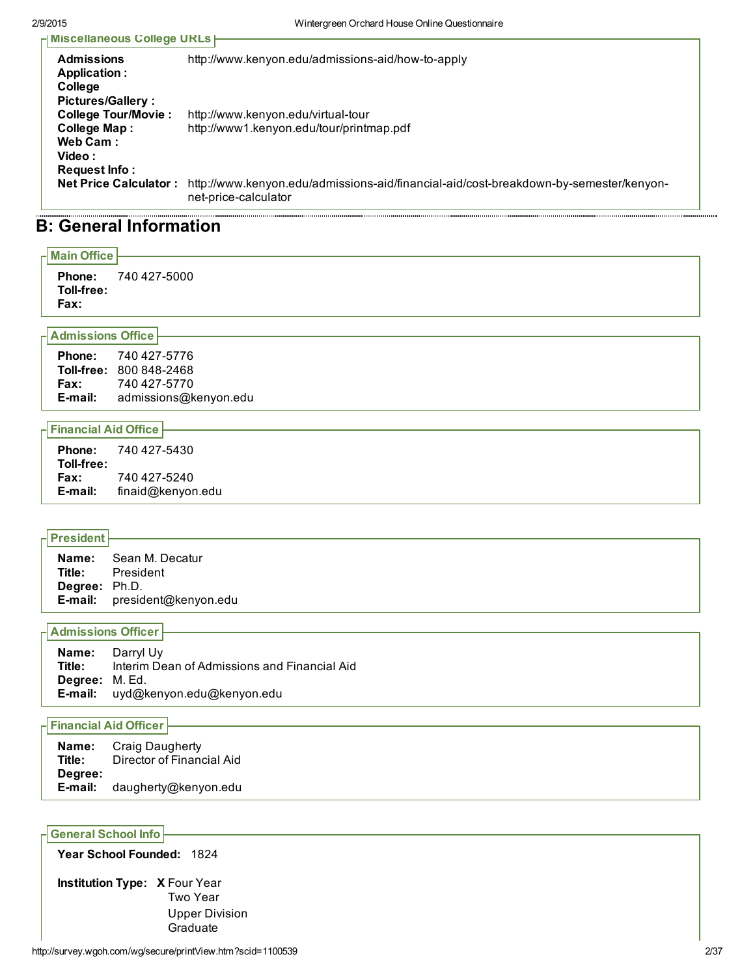| H Miscellaneous College URLs |                                                                                                               |  |  |  |  |
|------------------------------|---------------------------------------------------------------------------------------------------------------|--|--|--|--|
|                              |                                                                                                               |  |  |  |  |
| <b>Admissions</b>            | http://www.kenyon.edu/admissions-aid/how-to-apply                                                             |  |  |  |  |
| Application :                |                                                                                                               |  |  |  |  |
| College                      |                                                                                                               |  |  |  |  |
| <b>Pictures/Gallery:</b>     |                                                                                                               |  |  |  |  |
| <b>College Tour/Movie:</b>   | http://www.kenyon.edu/virtual-tour                                                                            |  |  |  |  |
| <b>College Map:</b>          | http://www1.kenyon.edu/tour/printmap.pdf                                                                      |  |  |  |  |
| Web Cam:                     |                                                                                                               |  |  |  |  |
| Video:                       |                                                                                                               |  |  |  |  |
| Request Info:                |                                                                                                               |  |  |  |  |
| <b>Net Price Calculator:</b> | http://www.kenyon.edu/admissions-aid/financial-aid/cost-breakdown-by-semester/kenyon-<br>net-price-calculator |  |  |  |  |
|                              |                                                                                                               |  |  |  |  |

## B: General Information

| $\overline{\phantom{a}}$ Main Office $\overline{\phantom{a}}$ |              |
|---------------------------------------------------------------|--------------|
| <b>Phone:</b><br>Toll-free:<br>Fax:                           | 740 427-5000 |
| $H$ Admissions Office                                         |              |

Phone: 740 427-5776 Toll-free: 800 848-2468 **Fax:** 740 427-5770 Email: admissions@kenyon.edu

### Financial Aid Office

### President

|                      | <b>Name:</b> Sean M. Decatur        |
|----------------------|-------------------------------------|
| Title:               | President                           |
| <b>Degree:</b> Ph.D. |                                     |
|                      | <b>E-mail:</b> president@kenyon.edu |

#### Admissions Officer

| Title:                | <b>Name:</b> Darryl Uv<br>Interim Dean of Admissions and Financial Aid |
|-----------------------|------------------------------------------------------------------------|
| <b>Degree:</b> M. Ed. | E-mail: uyd@kenyon.edu@kenyon.edu                                      |

#### Financial Aid Officer

| Name:<br>Title: | Craig Daugherty<br>Director of Financial Aid |  |
|-----------------|----------------------------------------------|--|
| Degree:         |                                              |  |
| E-mail:         | daugherty@kenyon.edu                         |  |

### General School Info

Year School Founded: 1824

Institution Type: X Four Year Two Year Upper Division **Graduate**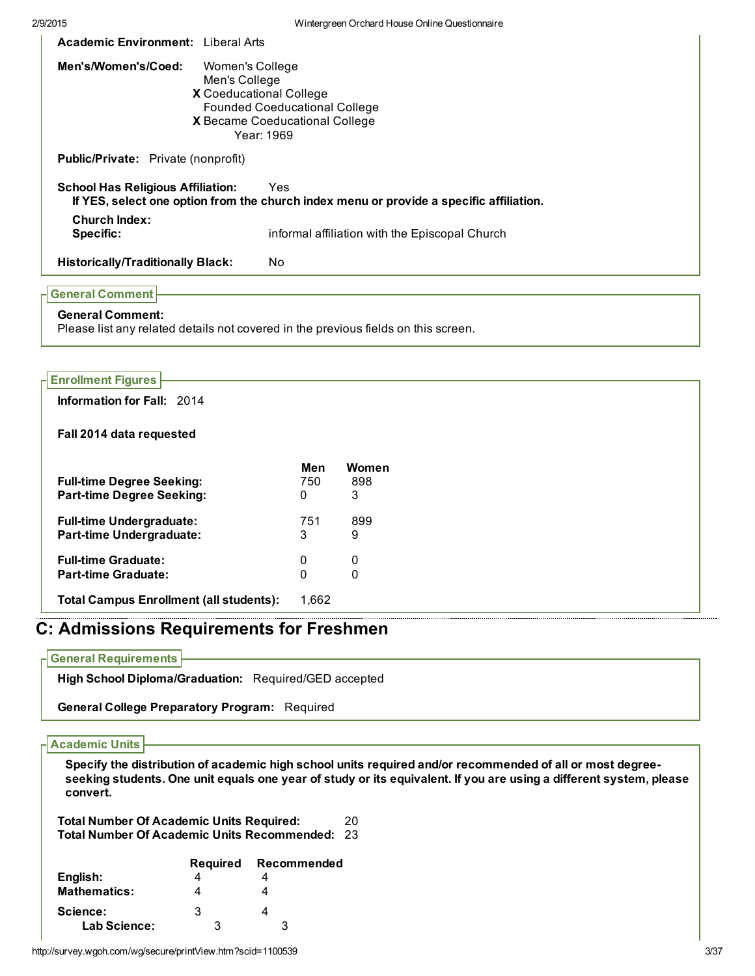| <b>Academic Environment:</b> Liberal Arts                                                                                                                                         |                                                                                                |  |  |
|-----------------------------------------------------------------------------------------------------------------------------------------------------------------------------------|------------------------------------------------------------------------------------------------|--|--|
| Men's/Women's/Coed:<br>Women's College<br>Men's College<br><b>X</b> Coeducational College<br><b>Founded Coeducational College</b><br>X Became Coeducational College<br>Year: 1969 |                                                                                                |  |  |
| <b>Public/Private:</b> Private (nonprofit)                                                                                                                                        |                                                                                                |  |  |
| <b>School Has Religious Affiliation:</b>                                                                                                                                          | Yes<br>If YES, select one option from the church index menu or provide a specific affiliation. |  |  |
| <b>Church Index:</b><br>Specific:                                                                                                                                                 | informal affiliation with the Episcopal Church                                                 |  |  |
| <b>Historically/Traditionally Black:</b>                                                                                                                                          | No.                                                                                            |  |  |
| <b>General Comment</b><br><b>General Comment:</b>                                                                                                                                 |                                                                                                |  |  |

Please list any related details not covered in the previous fields on this screen.

| <b>Enrollment Figures</b>                      |       |             |  |
|------------------------------------------------|-------|-------------|--|
| <b>Information for Fall: 2014</b>              |       |             |  |
| Fall 2014 data requested                       |       |             |  |
|                                                | Men   | Women       |  |
| <b>Full-time Degree Seeking:</b>               | 750   | 898         |  |
| <b>Part-time Degree Seeking:</b>               | 0     | 3           |  |
| <b>Full-time Undergraduate:</b>                | 751   | 899         |  |
| <b>Part-time Undergraduate:</b>                | 3     | 9           |  |
| <b>Full-time Graduate:</b>                     | 0     | 0           |  |
| <b>Part-time Graduate:</b>                     | 0     | $\mathbf 0$ |  |
| <b>Total Campus Enrollment (all students):</b> | 1,662 |             |  |

# C: Admissions Requirements for Freshmen

#### General Requirements

High School Diploma/Graduation: Required/GED accepted

General College Preparatory Program: Required

#### Academic Units

Specify the distribution of academic high school units required and/or recommended of all or most degreeseeking students. One unit equals one year of study or its equivalent. If you are using a different system, please convert.

Total Number Of Academic Units Required: 20 Total Number Of Academic Units Recommended: 23

|                     | Required | Recommended |
|---------------------|----------|-------------|
| English:            |          |             |
| <b>Mathematics:</b> |          |             |
| Science:            | 3        |             |
| Lab Science:        | ર        | ર           |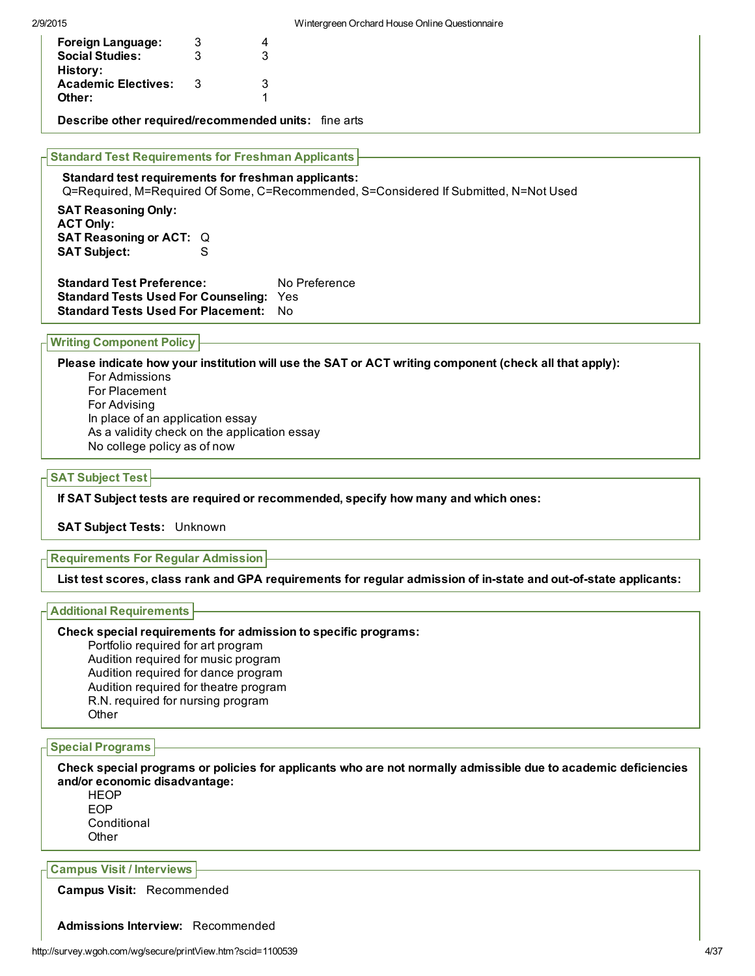| <b>Foreign Language:</b>                                                                                          | 3   | 4                                                                                    |
|-------------------------------------------------------------------------------------------------------------------|-----|--------------------------------------------------------------------------------------|
| <b>Social Studies:</b><br>History:                                                                                | 3   | 3                                                                                    |
| <b>Academic Electives:</b>                                                                                        | - 3 | 3                                                                                    |
| Other:                                                                                                            |     |                                                                                      |
| Describe other required/recommended units: fine arts<br><b>Standard Test Requirements for Freshman Applicants</b> |     |                                                                                      |
|                                                                                                                   |     |                                                                                      |
| Standard test requirements for freshman applicants:                                                               |     | Q=Required, M=Required Of Some, C=Recommended, S=Considered If Submitted, N=Not Used |
| <b>SAT Pessening Only:</b>                                                                                        |     |                                                                                      |

keasoning Only: ACT Only: SAT Reasoning or ACT: Q SAT Subject: S

Standard Test Preference: No Preference Standard Tests Used For Counseling: Yes Standard Tests Used For Placement: No

Writing Component Policy

Please indicate how your institution will use the SAT or ACT writing component (check all that apply): For Admissions For Placement For Advising In place of an application essay As a validity check on the application essay No college policy as of now

#### SAT Subject Test

If SAT Subject tests are required or recommended, specify how many and which ones:

SAT Subject Tests: Unknown

Requirements For Regular Admission

List test scores, class rank and GPA requirements for reqular admission of in-state and out-of-state applicants:

#### Additional Requirements

#### Check special requirements for admission to specific programs:

Portfolio required for art program Audition required for music program Audition required for dance program Audition required for theatre program R.N. required for nursing program Other

#### Special Programs

Check special programs or policies for applicants who are not normally admissible due to academic deficiencies and/or economic disadvantage:

HEOP EOP **Conditional Other** 

Campus Visit / Interviews

Campus Visit: Recommended

Admissions Interview: Recommended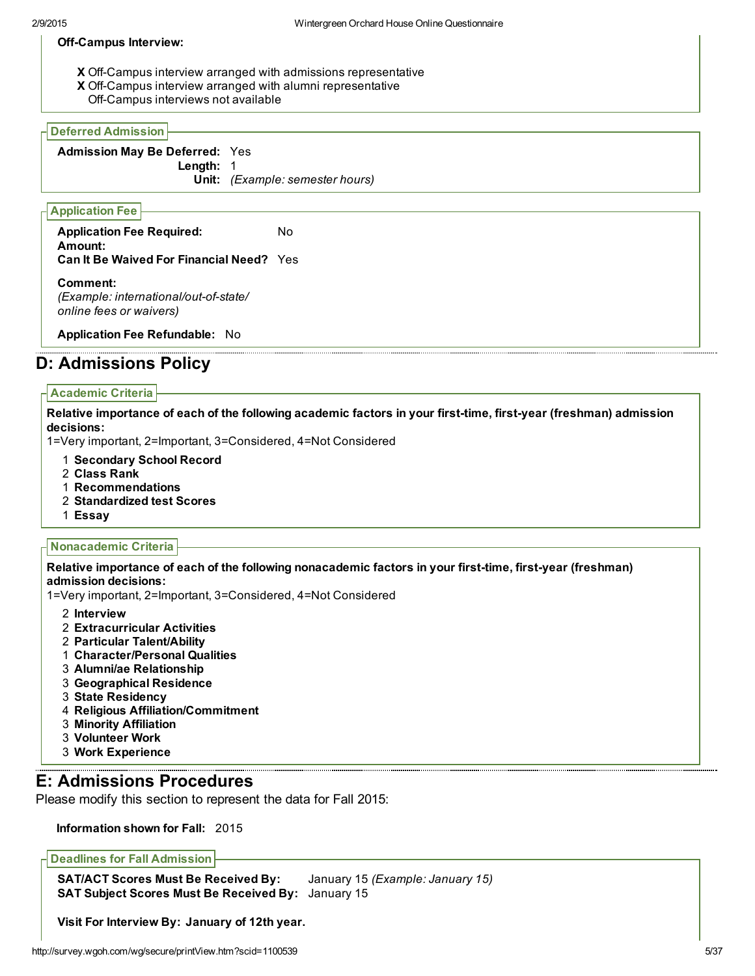#### Off-Campus Interview:

- X Off-Campus interview arranged with admissions representative
- **X** Off-Campus interview arranged with alumni representative
- Off-Campus interviews not available

#### Deferred Admission

Admission May Be Deferred: Yes

Length: 1

Unit: *(Example: semester hours)*

#### Application Fee

Application Fee Required: No Amount: Can It Be Waived For Financial Need? Yes

Comment: *(Example: international/out-of-state/ online fees or waivers)*

Application Fee Refundable: No

## D: Admissions Policy

#### Academic Criteria

Relative importance of each of the following academic factors in your first-time, first-year (freshman) admission decisions:

1=Very important, 2=Important, 3=Considered, 4=Not Considered

- 1 Secondary School Record
- 2 Class Rank
- 1 Recommendations
- 2 Standardized test Scores
- 1 Essay

#### Nonacademic Criteria

Relative importance of each of the following nonacademic factors in your first-time, first-year (freshman) admission decisions:

1=Very important, 2=Important, 3=Considered, 4=Not Considered

- 2 Interview
- 2 Extracurricular Activities
- 2 Particular Talent/Ability
- 1 Character/Personal Qualities
- 3 Alumni/ae Relationship
- 3 Geographical Residence
- 3 State Residency
- 4 Religious Affiliation/Commitment
- 3 Minority Affiliation
- 3 Volunteer Work
- 3 Work Experience

## E: Admissions Procedures

Please modify this section to represent the data for Fall 2015:

Information shown for Fall: 2015

Deadlines for Fall Admission

SAT/ACT Scores Must Be Received By: January 15 *(Example: January 15)* SAT Subject Scores Must Be Received By: January 15

Visit For Interview By: January of 12th year.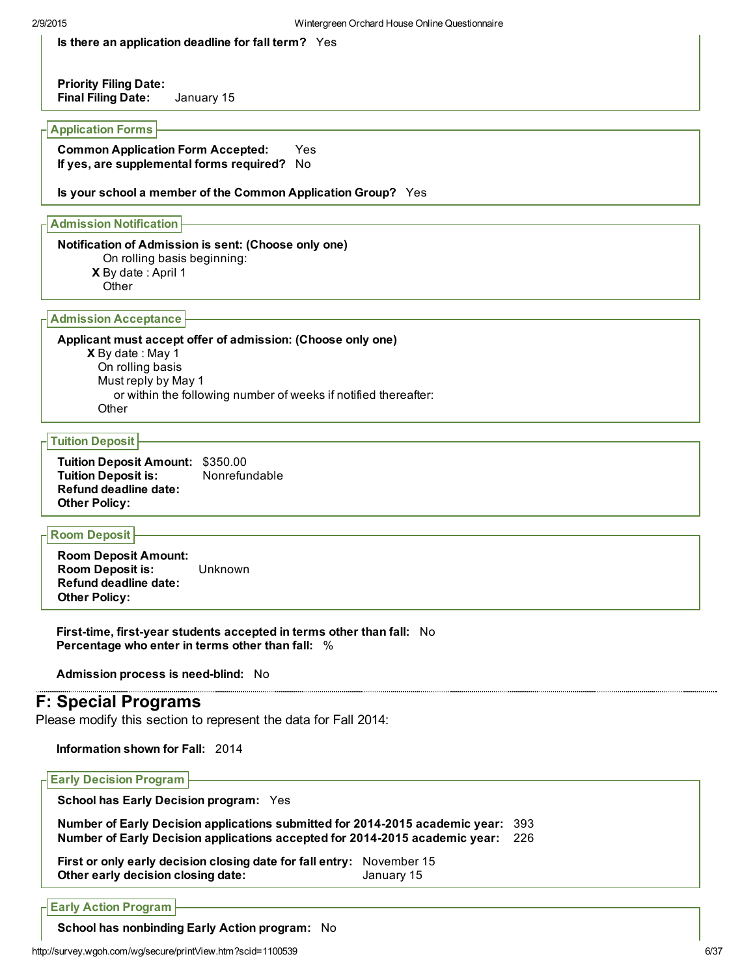Is there an application deadline for fall term? Yes

Priority Filing Date: Final Filing Date: January 15

#### Application Forms

Common Application Form Accepted: Yes If yes, are supplemental forms required? No

Is your school a member of the Common Application Group? Yes

Admission Notification

#### Notification of Admission is sent: (Choose only one)

- On rolling basis beginning:
- X By date : April 1
- **Other**

#### Admission Acceptance

**X** By date: May 1 Applicant must accept offer of admission: (Choose only one) On rolling basis Must reply by May 1 or within the following number of weeks if notified thereafter: **Other** 

#### Tuition Deposit

Tuition Deposit Amount: \$350.00 Tuition Deposit is: Nonrefundable Refund deadline date: Other Policy:

### Room Deposit

Room Deposit Amount: Room Deposit is: Unknown Refund deadline date: Other Policy:

First-time, first-year students accepted in terms other than fall: No Percentage who enter in terms other than fall: %

Admission process is need-blind: No

## F: Special Programs

Please modify this section to represent the data for Fall 2014:

Information shown for Fall: 2014

| <b>H</b> Early Decision Program                                                                                                                                     |            |  |
|---------------------------------------------------------------------------------------------------------------------------------------------------------------------|------------|--|
| <b>School has Early Decision program: Yes</b>                                                                                                                       |            |  |
| Number of Early Decision applications submitted for 2014-2015 academic year: 393<br>Number of Early Decision applications accepted for 2014-2015 academic year: 226 |            |  |
| First or only early decision closing date for fall entry: November 15<br>Other early decision closing date:                                                         | January 15 |  |

Early Action Program

School has nonbinding Early Action program: No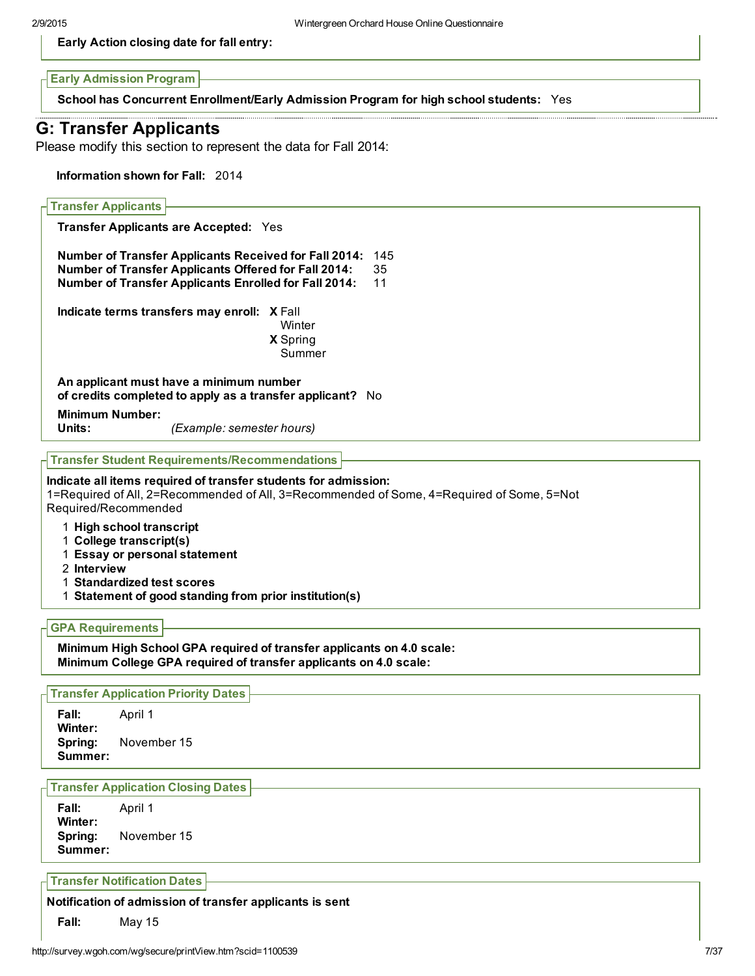Early Action closing date for fall entry:

Early Admission Program

School has Concurrent Enrollment/Early Admission Program for high school students: Yes

# G: Transfer Applicants

Please modify this section to represent the data for Fall 2014:

Information shown for Fall: 2014

| <b>Transfer Applicants</b>                                                                                                                                |                                                                                                                                                                                             |                                                                                           |
|-----------------------------------------------------------------------------------------------------------------------------------------------------------|---------------------------------------------------------------------------------------------------------------------------------------------------------------------------------------------|-------------------------------------------------------------------------------------------|
|                                                                                                                                                           | <b>Transfer Applicants are Accepted: Yes</b>                                                                                                                                                |                                                                                           |
|                                                                                                                                                           | <b>Number of Transfer Applicants Received for Fall 2014:</b><br><b>Number of Transfer Applicants Offered for Fall 2014:</b><br><b>Number of Transfer Applicants Enrolled for Fall 2014:</b> | 145<br>35<br>11                                                                           |
|                                                                                                                                                           | Indicate terms transfers may enroll: X Fall<br>Winter<br>X Spring<br>Summer                                                                                                                 |                                                                                           |
|                                                                                                                                                           | An applicant must have a minimum number<br>of credits completed to apply as a transfer applicant? No                                                                                        |                                                                                           |
| <b>Minimum Number:</b><br>Units:                                                                                                                          | (Example: semester hours)                                                                                                                                                                   |                                                                                           |
|                                                                                                                                                           | <b>Transfer Student Requirements/Recommendations</b>                                                                                                                                        |                                                                                           |
| Required/Recommended<br>1 High school transcript<br>1 College transcript(s)<br>1 Essay or personal statement<br>2 Interview<br>1 Standardized test scores | 1 Statement of good standing from prior institution(s)                                                                                                                                      | 1=Required of All, 2=Recommended of All, 3=Recommended of Some, 4=Required of Some, 5=Not |
| <b>GPA Requirements</b>                                                                                                                                   |                                                                                                                                                                                             |                                                                                           |
|                                                                                                                                                           | Minimum High School GPA required of transfer applicants on 4.0 scale:<br>Minimum College GPA required of transfer applicants on 4.0 scale:                                                  |                                                                                           |
| <b>Transfer Application Priority Dates</b>                                                                                                                |                                                                                                                                                                                             |                                                                                           |
| Fall:<br>April 1<br>Winter:<br>November 15<br>Spring:<br>Summer:                                                                                          |                                                                                                                                                                                             |                                                                                           |
| <b>Transfer Application Closing Dates</b>                                                                                                                 |                                                                                                                                                                                             |                                                                                           |
| Fall:<br>April 1<br>Winter:<br>November 15<br>Spring:<br>Summer:                                                                                          |                                                                                                                                                                                             |                                                                                           |
| <b>Transfer Notification Dates</b>                                                                                                                        |                                                                                                                                                                                             |                                                                                           |
|                                                                                                                                                           | Notification of admission of transfer applicants is sent                                                                                                                                    |                                                                                           |
|                                                                                                                                                           |                                                                                                                                                                                             |                                                                                           |

Fall: May 15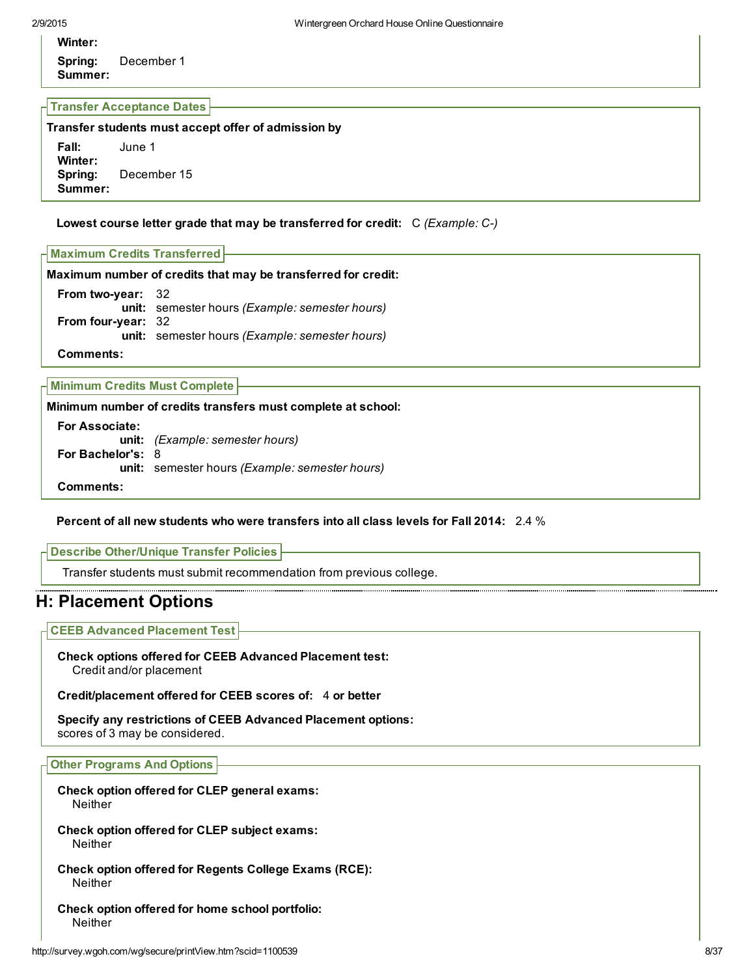# Winter:

Spring: December 1 Summer:

#### Transfer Acceptance Dates

Transfer students must accept offer of admission by Fall: June 1 Winter: Spring: December 15 Summer:

#### Lowest course letter grade that may be transferred for credit: C *(Example: C)*

| H Maximum Credits Transferred H                               |  |
|---------------------------------------------------------------|--|
| Maximum number of credits that may be transferred for credit: |  |

| <b>From two-year: 32</b>  |                                                |
|---------------------------|------------------------------------------------|
|                           | unit: semester hours (Example: semester hours) |
| <b>From four-year: 32</b> |                                                |
|                           | unit: semester hours (Example: semester hours) |
|                           |                                                |

Comments:

Minimum Credits Must Complete

Minimum number of credits transfers must complete at school:

For Associate: unit: *(Example: semester hours)* For Bachelor's: 8 unit: semester hours *(Example: semester hours)* Comments:

#### Percent of all new students who were transfers into all class levels for Fall 2014: 2.4 %

#### Describe Other/Unique Transfer Policies

Transfer students must submit recommendation from previous college.

## H: Placement Options

CEEB Advanced Placement Test

Check options offered for CEEB Advanced Placement test: Credit and/or placement

Credit/placement offered for CEEB scores of: 4 or better

Specify any restrictions of CEEB Advanced Placement options: scores of 3 may be considered.

#### Other Programs And Options

Check option offered for CLEP general exams: Neither

Check option offered for CLEP subject exams: Neither

Check option offered for Regents College Exams (RCE): Neither

Check option offered for home school portfolio: Neither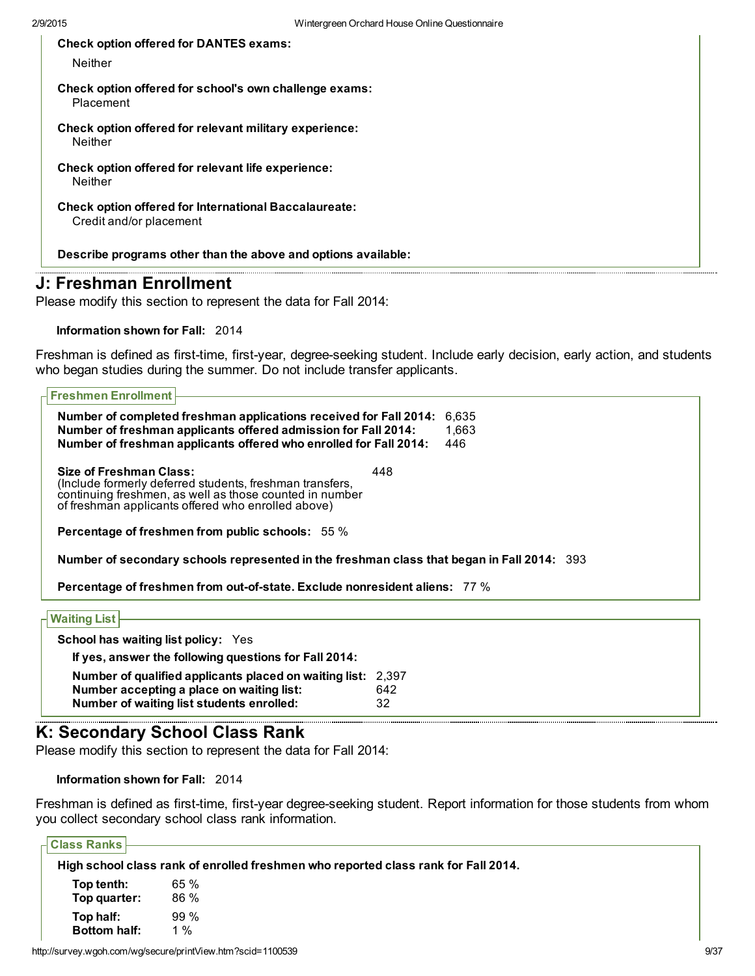Check option offered for DANTES exams:

Neither

Check option offered for school's own challenge exams: Placement

Check option offered for relevant military experience: **Neither** 

Check option offered for relevant life experience: Neither

Check option offered for International Baccalaureate: Credit and/or placement

Describe programs other than the above and options available:

## J: Freshman Enrollment

Please modify this section to represent the data for Fall 2014:

Information shown for Fall: 2014

Freshman is defined as first-time, first-year, degree-seeking student. Include early decision, early action, and students who began studies during the summer. Do not include transfer applicants.

| <b>Freshmen Enrollment</b>                                                                                                                                                                                  |       |  |  |  |  |  |
|-------------------------------------------------------------------------------------------------------------------------------------------------------------------------------------------------------------|-------|--|--|--|--|--|
|                                                                                                                                                                                                             |       |  |  |  |  |  |
| Number of completed freshman applications received for Fall 2014:                                                                                                                                           | 6.635 |  |  |  |  |  |
| Number of freshman applicants offered admission for Fall 2014:                                                                                                                                              | 1.663 |  |  |  |  |  |
| Number of freshman applicants offered who enrolled for Fall 2014:                                                                                                                                           | 446   |  |  |  |  |  |
| Size of Freshman Class:<br>448<br>(Include formerly deferred students, freshman transfers,<br>continuing freshmen, as well as those counted in number<br>of freshman applicants offered who enrolled above) |       |  |  |  |  |  |
| <b>Percentage of freshmen from public schools:</b> 55 %                                                                                                                                                     |       |  |  |  |  |  |
| Number of secondary schools represented in the freshman class that began in Fall 2014: 393                                                                                                                  |       |  |  |  |  |  |
| <b>Percentage of freshmen from out-of-state. Exclude nonresident aliens: 77 %</b>                                                                                                                           |       |  |  |  |  |  |
| <b>Waiting List</b>                                                                                                                                                                                         |       |  |  |  |  |  |
| <b>School has waiting list policy: Yes</b>                                                                                                                                                                  |       |  |  |  |  |  |
| If yes, answer the following questions for Fall 2014:                                                                                                                                                       |       |  |  |  |  |  |
| Number of qualified applicants placed on waiting list: 2,397                                                                                                                                                |       |  |  |  |  |  |

## K: Secondary School Class Rank

Please modify this section to represent the data for Fall 2014:

Number accepting a place on waiting list: 642 Number of waiting list students enrolled: 32

Information shown for Fall: 2014

Freshman is defined as first-time, first-year degree-seeking student. Report information for those students from whom you collect secondary school class rank information.

|--|--|

| High school class rank of enrolled freshmen who reported class rank for Fall 2014. |        |  |  |  |
|------------------------------------------------------------------------------------|--------|--|--|--|
| Top tenth:                                                                         | 65%    |  |  |  |
| Top quarter:                                                                       | 86 %   |  |  |  |
| Top half:                                                                          | $99\%$ |  |  |  |
| <b>Bottom half:</b>                                                                | 1 $%$  |  |  |  |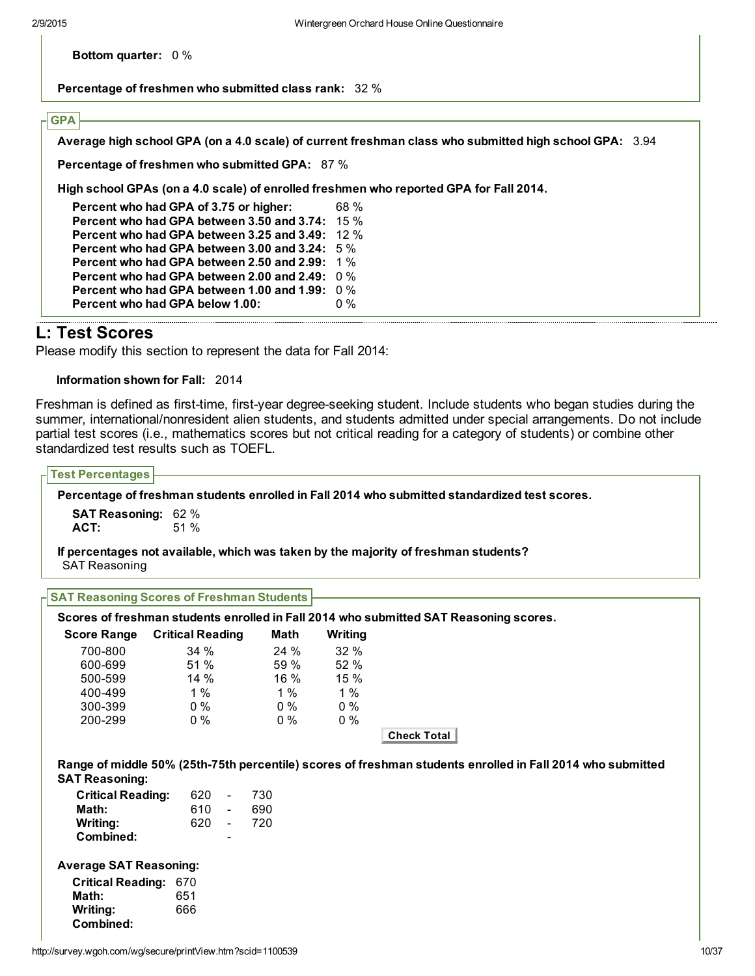Bottom quarter: 0 %

Percentage of freshmen who submitted class rank: 32 %

## **GPA**

Average high school GPA (on a 4.0 scale) of current freshman class who submitted high school GPA: 3.94

Percentage of freshmen who submitted GPA: 87 %

High school GPAs (on a 4.0 scale) of enrolled freshmen who reported GPA for Fall 2014.

Percent who had GPA of 3.75 or higher: 68 % Percent who had GPA between 3.50 and 3.74: 15 % Percent who had GPA between 3.25 and 3.49: 12 % Percent who had GPA between 3.00 and 3.24: 5 % Percent who had GPA between 2.50 and 2.99: 1 % Percent who had GPA between 2.00 and 2.49: 0 % Percent who had GPA between 1.00 and 1.99: 0 % Percent who had GPA below 1.00: 0 %

## L: Test Scores

Please modify this section to represent the data for Fall 2014:

Information shown for Fall: 2014

Freshman is defined as first-time, first-year degree-seeking student. Include students who began studies during the summer, international/nonresident alien students, and students admitted under special arrangements. Do not include partial test scores (i.e., mathematics scores but not critical reading for a category of students) or combine other standardized test results such as TOEFL.

| <b>Test Percentages</b>                          |                         |       |         |                                                                                                            |
|--------------------------------------------------|-------------------------|-------|---------|------------------------------------------------------------------------------------------------------------|
|                                                  |                         |       |         | Percentage of freshman students enrolled in Fall 2014 who submitted standardized test scores.              |
| <b>SAT Reasoning: 62 %</b>                       |                         |       |         |                                                                                                            |
| ACT:                                             | 51 %                    |       |         |                                                                                                            |
| <b>SAT Reasoning</b>                             |                         |       |         | If percentages not available, which was taken by the majority of freshman students?                        |
| <b>SAT Reasoning Scores of Freshman Students</b> |                         |       |         |                                                                                                            |
|                                                  |                         |       |         | Scores of freshman students enrolled in Fall 2014 who submitted SAT Reasoning scores.                      |
| <b>Score Range</b>                               | <b>Critical Reading</b> | Math  | Writing |                                                                                                            |
| 700-800                                          | 34 %                    | 24 %  | 32 %    |                                                                                                            |
| 600-699                                          | 51 %                    | 59 %  | 52 %    |                                                                                                            |
| 500-599                                          | 14%                     | 16 %  | 15 %    |                                                                                                            |
| 400-499                                          | $1\%$                   | 1%    | 1%      |                                                                                                            |
| 300-399                                          | $0\%$                   | $0\%$ | $0\%$   |                                                                                                            |
| 200-299                                          | $0\%$                   | $0\%$ | $0\%$   |                                                                                                            |
|                                                  |                         |       |         | <b>Check Total</b>                                                                                         |
|                                                  |                         |       |         | Range of middle 50% (25th-75th percentile) scores of freshman students enrolled in Fall 2014 who submitted |
| <b>SAT Reasoning:</b>                            |                         |       |         |                                                                                                            |
| <b>Critical Reading:</b>                         | 620<br>$\blacksquare$   | 730   |         |                                                                                                            |
| Math:                                            | 610<br>$\omega$         | 690   |         |                                                                                                            |
| Writing:                                         | 620<br>$\sim$           | 720   |         |                                                                                                            |
| Combined:                                        |                         |       |         |                                                                                                            |
| <b>Average SAT Reasoning:</b>                    |                         |       |         |                                                                                                            |
|                                                  |                         |       |         |                                                                                                            |
|                                                  |                         |       |         |                                                                                                            |
| <b>Critical Reading: 670</b>                     |                         |       |         |                                                                                                            |
| Math:<br>Writing:                                | 651<br>666              |       |         |                                                                                                            |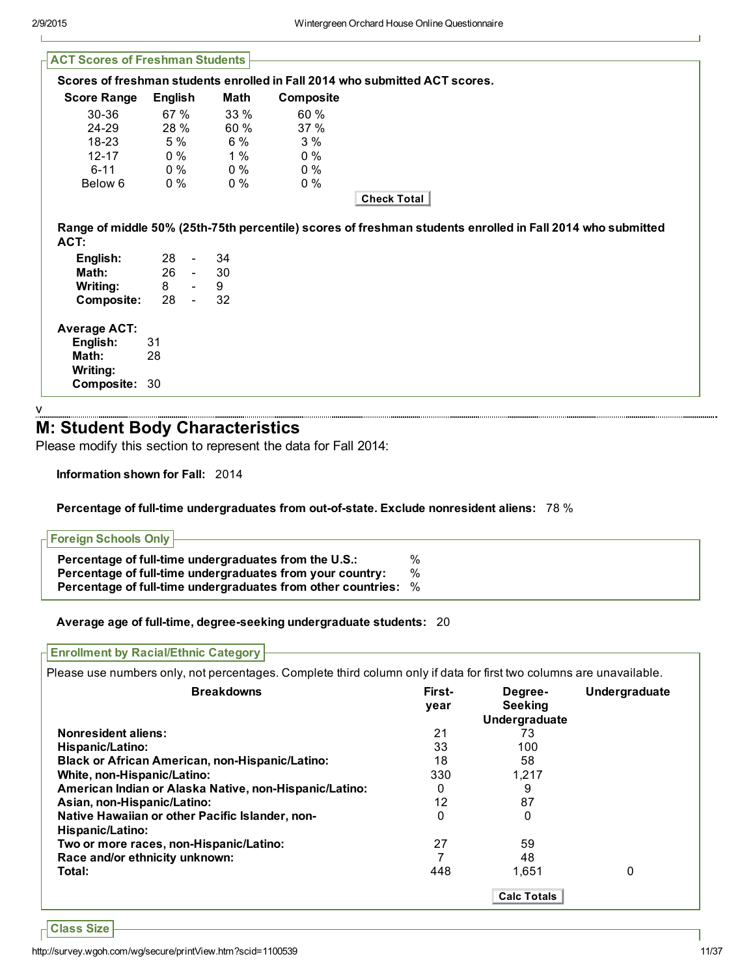| <b>ACT Scores of Freshman Students</b> |         |                          |       |           |                                                                                                            |
|----------------------------------------|---------|--------------------------|-------|-----------|------------------------------------------------------------------------------------------------------------|
|                                        |         |                          |       |           | Scores of freshman students enrolled in Fall 2014 who submitted ACT scores.                                |
| <b>Score Range</b>                     | English |                          | Math  | Composite |                                                                                                            |
| 30-36                                  | 67 %    |                          | 33 %  | 60 %      |                                                                                                            |
| 24-29                                  | 28 %    |                          | 60 %  | 37%       |                                                                                                            |
| 18-23                                  | 5 %     |                          | 6 %   | 3%        |                                                                                                            |
| $12 - 17$                              | $0\%$   |                          | 1%    | $0\%$     |                                                                                                            |
| $6 - 11$                               | $0\%$   |                          | $0\%$ | $0\%$     |                                                                                                            |
| Below 6                                | $0\%$   |                          | $0\%$ | $0\%$     |                                                                                                            |
|                                        |         |                          |       |           | Check Total                                                                                                |
| ACT:                                   |         |                          |       |           | Range of middle 50% (25th-75th percentile) scores of freshman students enrolled in Fall 2014 who submitted |
| English:                               | 28      | $\overline{\phantom{a}}$ | 34    |           |                                                                                                            |
| Math:                                  |         | $26 -$                   | 30    |           |                                                                                                            |
| <b>Writing:</b>                        | 8       | $\blacksquare$           | 9     |           |                                                                                                            |
| Composite:                             | 28      | $\blacksquare$           | 32    |           |                                                                                                            |
| <b>Average ACT:</b>                    |         |                          |       |           |                                                                                                            |
| English:                               | 31      |                          |       |           |                                                                                                            |
| Math:                                  | 28      |                          |       |           |                                                                                                            |
| Writing:                               |         |                          |       |           |                                                                                                            |
| Composite: 30                          |         |                          |       |           |                                                                                                            |
|                                        |         |                          |       |           |                                                                                                            |

v

## M: Student Body Characteristics

Please modify this section to represent the data for Fall 2014:

Information shown for Fall: 2014

#### Percentage of full-time undergraduates from out-of-state. Exclude nonresident aliens: 78 %

| <b>- Foreign Schools Only ⊢</b>                                       |   |
|-----------------------------------------------------------------------|---|
| Percentage of full-time undergraduates from the U.S.:                 | % |
| Percentage of full-time undergraduates from your country:             | % |
| <b>Percentage of full-time undergraduates from other countries:</b> % |   |

Average age of full-time, degree-seeking undergraduate students: 20

Please use numbers only, not percentages. Complete third column only if data for first two columns are unavailable.

| <b>Breakdowns</b>                                                   | First-<br>vear | Degree-<br><b>Seeking</b><br>Undergraduate | Undergraduate |
|---------------------------------------------------------------------|----------------|--------------------------------------------|---------------|
| <b>Nonresident aliens:</b>                                          | 21             | 73                                         |               |
| Hispanic/Latino:                                                    | 33             | 100                                        |               |
| <b>Black or African American, non-Hispanic/Latino:</b>              | 18             | 58                                         |               |
| White, non-Hispanic/Latino:                                         | 330            | 1,217                                      |               |
| American Indian or Alaska Native, non-Hispanic/Latino:              | 0              | 9                                          |               |
| Asian, non-Hispanic/Latino:                                         | 12             | 87                                         |               |
| Native Hawaiian or other Pacific Islander, non-<br>Hispanic/Latino: | 0              | 0                                          |               |
| Two or more races, non-Hispanic/Latino:                             | 27             | 59                                         |               |
| Race and/or ethnicity unknown:                                      |                | 48                                         |               |
| Total:                                                              | 448            | 1.651                                      | 0             |
|                                                                     |                | <b>Calc Totals</b>                         |               |

Class Size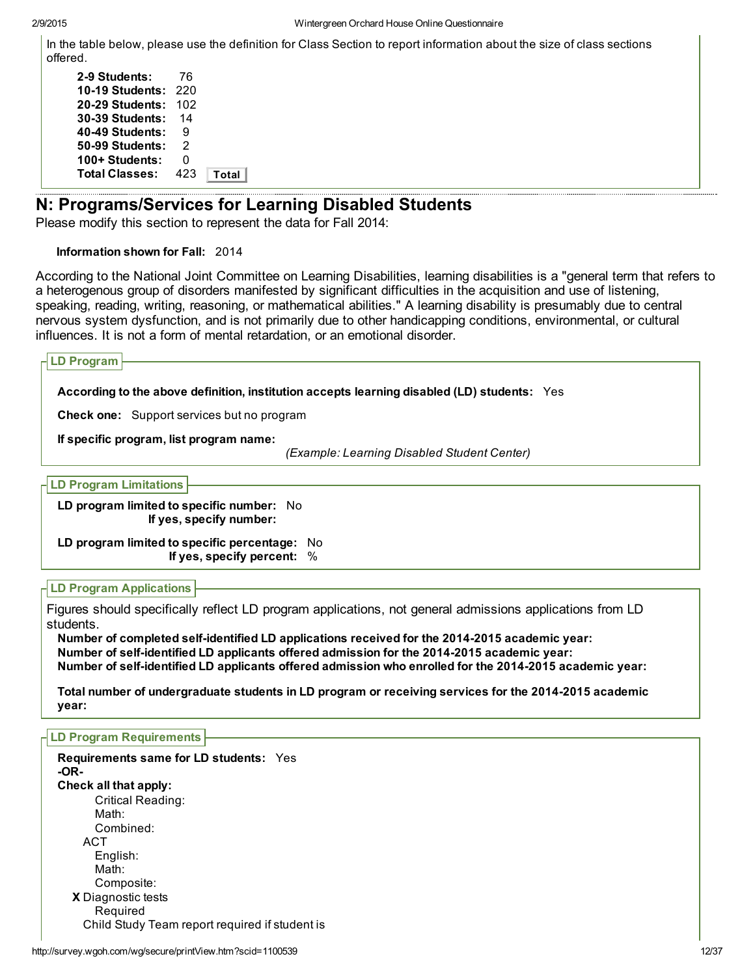In the table below, please use the definition for Class Section to report information about the size of class sections offered.

| 2-9 Students:          | 76  |       |
|------------------------|-----|-------|
| <b>10-19 Students:</b> | 220 |       |
| 20-29 Students:        | 102 |       |
| 30-39 Students:        | 14  |       |
| 40-49 Students:        | 9   |       |
| 50-99 Students:        | 2   |       |
| 100+ Students:         | O   |       |
| <b>Total Classes:</b>  | 423 | Total |
|                        |     |       |

## N: Programs/Services for Learning Disabled Students

Please modify this section to represent the data for Fall 2014:

#### Information shown for Fall: 2014

According to the National Joint Committee on Learning Disabilities, learning disabilities is a "general term that refers to a heterogenous group of disorders manifested by significant difficulties in the acquisition and use of listening, speaking, reading, writing, reasoning, or mathematical abilities." A learning disability is presumably due to central nervous system dysfunction, and is not primarily due to other handicapping conditions, environmental, or cultural influences. It is not a form of mental retardation, or an emotional disorder.

| <b>LD Program</b>                                                                           |
|---------------------------------------------------------------------------------------------|
| According to the above definition, institution accepts learning disabled (LD) students: Yes |
| <b>Check one:</b> Support services but no program                                           |
| If specific program, list program name:<br>(Example: Learning Disabled Student Center)      |
| <b>LD Program Limitations</b>                                                               |
| LD program limited to specific number: No<br>If yes, specify number:                        |
| LD program limited to specific percentage: No<br>If yes, specify percent: %                 |

### LD Program Applications

Figures should specifically reflect LD program applications, not general admissions applications from LD students.

Number of completed self-identified LD applications received for the 2014-2015 academic year: Number of self-identified LD applicants offered admission for the 2014-2015 academic year: Number of self-identified LD applicants offered admission who enrolled for the 2014-2015 academic year:

Total number of undergraduate students in LD program or receiving services for the 2014-2015 academic year:

#### LD Program Requirements

| <b>Requirements same for LD students:</b> Yes<br>-OR- |  |
|-------------------------------------------------------|--|
| Check all that apply:                                 |  |
| Critical Reading:                                     |  |
| Math:                                                 |  |
| Combined:                                             |  |
| ACT                                                   |  |
| English:                                              |  |
| Math:                                                 |  |
| Composite:                                            |  |
| X Diagnostic tests                                    |  |
| Required                                              |  |
| Child Study Team report required if student is        |  |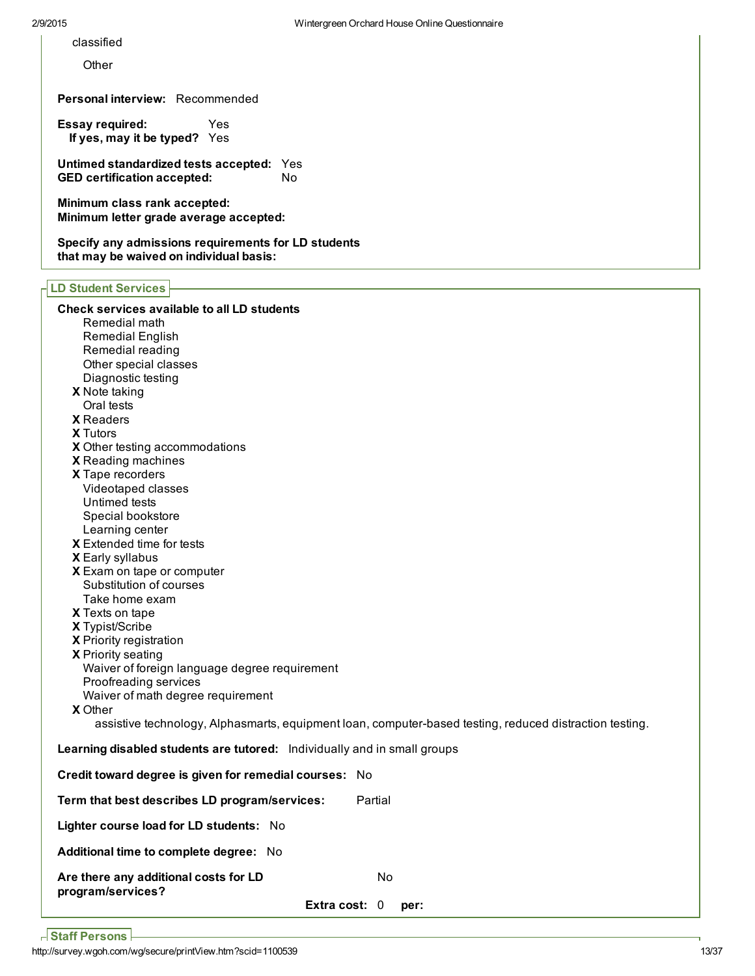classified

**Other** 

Personal interview: Recommended

Essay required: Yes If yes, may it be typed? Yes

Untimed standardized tests accepted: Yes<br>GED certification accepted: No GED certification accepted:

Minimum class rank accepted: Minimum letter grade average accepted:

Specify any admissions requirements for LD students that may be waived on individual basis:

#### LD Student Services

| LD Student Services                                                                                     |
|---------------------------------------------------------------------------------------------------------|
| Check services available to all LD students                                                             |
| Remedial math                                                                                           |
| Remedial English                                                                                        |
| Remedial reading                                                                                        |
| Other special classes                                                                                   |
| Diagnostic testing                                                                                      |
| X Note taking                                                                                           |
| Oral tests                                                                                              |
| <b>X</b> Readers                                                                                        |
| <b>X</b> Tutors                                                                                         |
| X Other testing accommodations                                                                          |
| X Reading machines                                                                                      |
| X Tape recorders                                                                                        |
| Videotaped classes                                                                                      |
| Untimed tests                                                                                           |
| Special bookstore                                                                                       |
| Learning center                                                                                         |
| X Extended time for tests                                                                               |
| X Early syllabus                                                                                        |
| X Exam on tape or computer                                                                              |
| Substitution of courses                                                                                 |
| Take home exam                                                                                          |
| X Texts on tape                                                                                         |
| X Typist/Scribe                                                                                         |
| X Priority registration                                                                                 |
| X Priority seating                                                                                      |
| Waiver of foreign language degree requirement                                                           |
| Proofreading services                                                                                   |
| Waiver of math degree requirement                                                                       |
| <b>X</b> Other                                                                                          |
| assistive technology, Alphasmarts, equipment loan, computer-based testing, reduced distraction testing. |
| Learning disabled students are tutored: Individually and in small groups                                |
| Credit toward degree is given for remedial courses: No                                                  |
| Term that best describes LD program/services:<br>Partial                                                |
| Lighter course load for LD students: No                                                                 |
| Additional time to complete degree: No                                                                  |
| Are there any additional costs for LD<br>No<br>program/services?                                        |
| Extra cost: $0$<br>per:                                                                                 |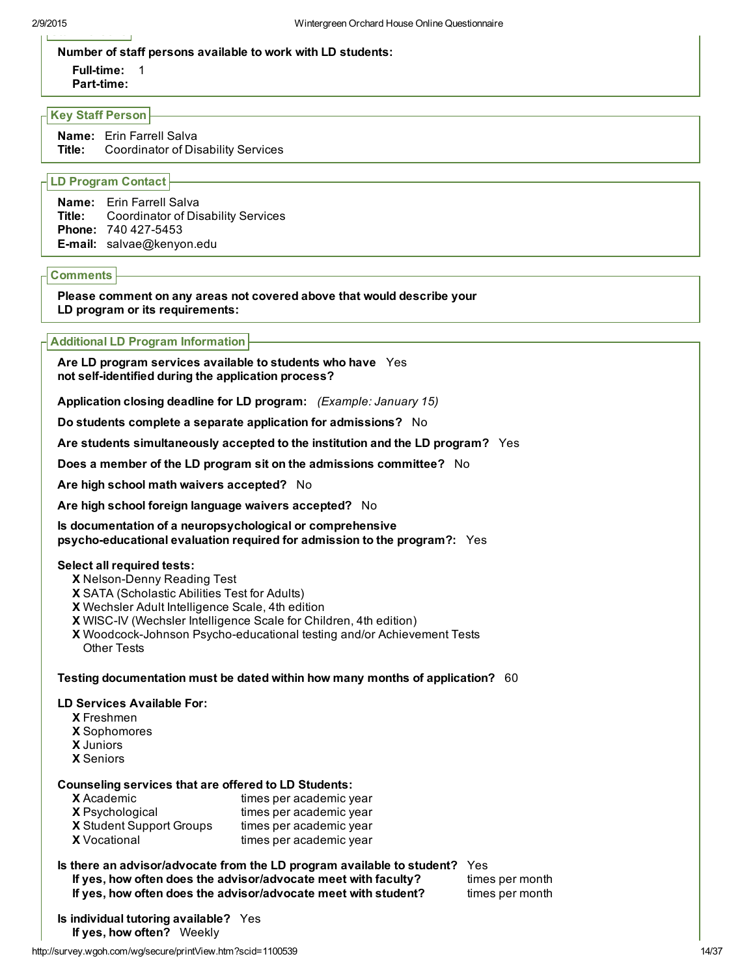# staff Persons Persons Persons Persons Persons Persons Persons Persons Persons Persons Persons Persons Persons

### Number of staff persons available to work with LD students:

Full-time: 1

Part-time:

### Key Staff Person

Name: Erin Farrell Salva Title: Coordinator of Disability Services

## LD Program Contact

| <b>Name:</b> Erin Farrell Salva<br><b>Title:</b> Coordinator of Disability Services |
|-------------------------------------------------------------------------------------|
| <b>Phone: 740 427-5453</b><br><b>E-mail:</b> salvae@kenyon.edu                      |

## **Comments**

Please comment on any areas not covered above that would describe your LD program or its requirements:

## Additional LD Program Information

Are LD program services available to students who have Yes not self-identified during the application process?

Application closing deadline for LD program: *(Example: January 15)*

Do students complete a separate application for admissions? No

Are students simultaneously accepted to the institution and the LD program? Yes

Does a member of the LD program sit on the admissions committee? No

Are high school math waivers accepted? No

Are high school foreign language waivers accepted? No

Is documentation of a neuropsychological or comprehensive psycho-educational evaluation required for admission to the program?: Yes

## Select all required tests:

- X Nelson-Denny Reading Test
- X SATA (Scholastic Abilities Test for Adults)
- X Wechsler Adult Intelligence Scale, 4th edition
- X WISCIV (Wechsler Intelligence Scale for Children, 4th edition)
- X Woodcock-Johnson Psycho-educational testing and/or Achievement Tests Other Tests

## Testing documentation must be dated within how many months of application? 60

## LD Services Available For:

- X Freshmen
- X Sophomores
- X Juniors
- X Seniors

## Counseling services that are offered to LD Students:

| <b>X</b> Academic        | times per academic year |
|--------------------------|-------------------------|
| <b>X</b> Psychological   | times per academic year |
| X Student Support Groups | times per academic year |
| <b>X</b> Vocational      | times per academic year |

## Is there an advisor/advocate from the LD program available to student? Yes

If yes, how often does the advisor/advocate meet with faculty? times per month If yes, how often does the advisor/advocate meet with student? times per month

Is individual tutoring available? Yes If yes, how often? Weekly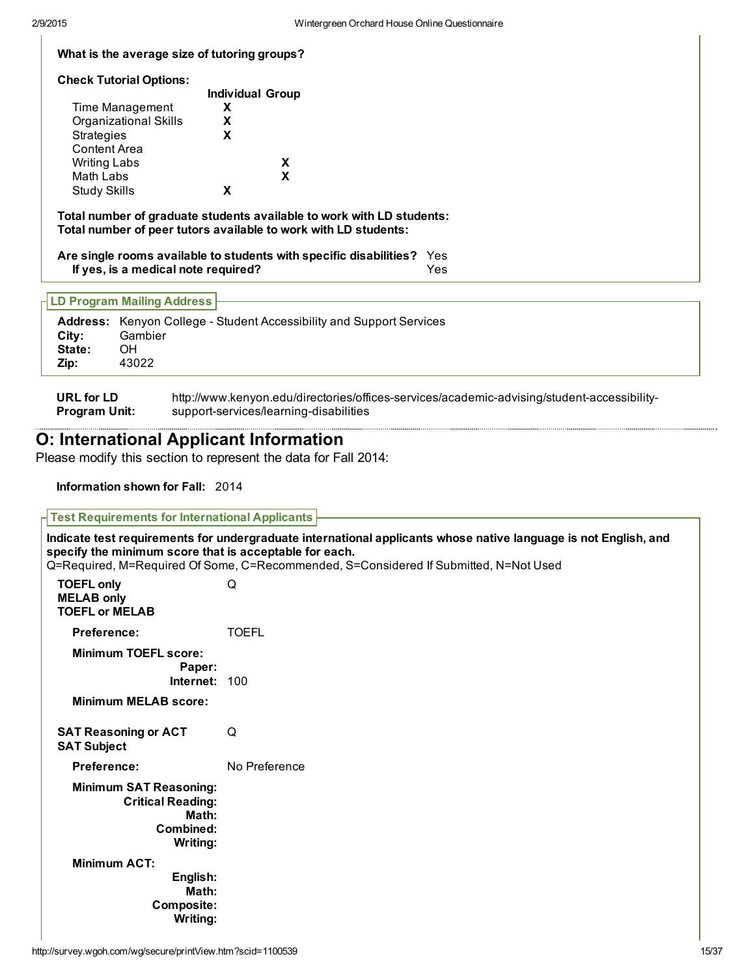#### What is the average size of tutoring groups?

#### Check Tutorial Options:

|                       | <b>Individual Group</b> |
|-----------------------|-------------------------|
| Time Management       | x                       |
| Organizational Skills | x                       |
| <b>Strategies</b>     | x                       |
| <b>Content Area</b>   |                         |
| <b>Writing Labs</b>   | x                       |
| Math Labs             | X                       |
| <b>Study Skills</b>   |                         |

Total number of graduate students available to work with LD students: Total number of peer tutors available to work with LD students:

Are single rooms available to students with specific disabilities? Yes If yes, is a medical note required? Yes

#### LD Program Mailing Address

| Citv:  | <b>Address:</b> Kenyon College - Student Accessibility and Support Services<br>Gambier |
|--------|----------------------------------------------------------------------------------------|
| State: | OН                                                                                     |
| Zip:   | 43022                                                                                  |

URL for LD Program Unit: http://www.kenyon.edu/directories/offices-services/academic-advising/student-accessibilitysupport-services/learning-disabilities

## O: International Applicant Information

Please modify this section to represent the data for Fall 2014:

Information shown for Fall: 2014

| <b>Test Requirements for International Applicants</b>                                       |                                                                                                                                                                                                         |
|---------------------------------------------------------------------------------------------|---------------------------------------------------------------------------------------------------------------------------------------------------------------------------------------------------------|
| specify the minimum score that is acceptable for each.                                      | Indicate test requirements for undergraduate international applicants whose native language is not English, and<br>Q=Required, M=Required Of Some, C=Recommended, S=Considered If Submitted, N=Not Used |
| <b>TOEFL only</b><br><b>MELAB only</b><br><b>TOEFL or MELAB</b>                             | Q                                                                                                                                                                                                       |
| <b>Preference:</b>                                                                          | <b>TOEFL</b>                                                                                                                                                                                            |
| <b>Minimum TOEFL score:</b><br>Paper:<br>Internet: 100                                      |                                                                                                                                                                                                         |
| <b>Minimum MELAB score:</b>                                                                 |                                                                                                                                                                                                         |
| <b>SAT Reasoning or ACT</b><br><b>SAT Subject</b>                                           | Q                                                                                                                                                                                                       |
| Preference:                                                                                 | No Preference                                                                                                                                                                                           |
| <b>Minimum SAT Reasoning:</b><br><b>Critical Reading:</b><br>Math:<br>Combined:<br>Writing: |                                                                                                                                                                                                         |
| <b>Minimum ACT:</b><br>English:<br>Math:<br>Composite:<br>Writing:                          |                                                                                                                                                                                                         |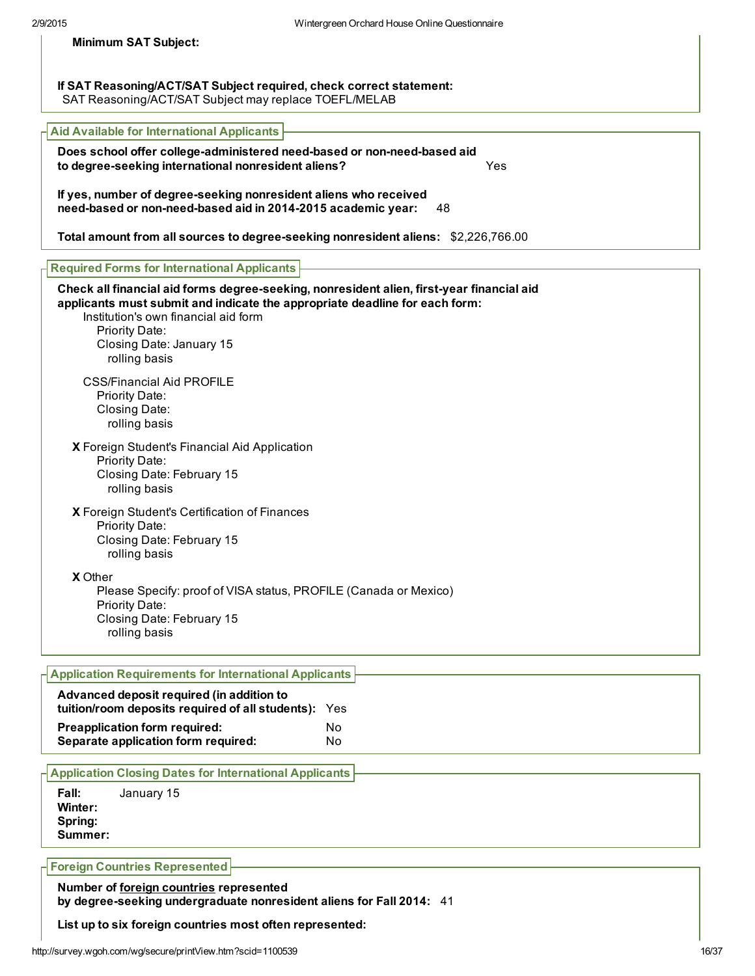| <b>Minimum SAT Subject:</b> |  |  |  |
|-----------------------------|--|--|--|
|-----------------------------|--|--|--|

If SAT Reasoning/ACT/SAT Subject required, check correct statement: SAT Reasoning/ACT/SAT Subject may replace TOEFL/MELAB

| <b>Aid Available for International Applicants</b>                                                                                                                                                                                                                               |
|---------------------------------------------------------------------------------------------------------------------------------------------------------------------------------------------------------------------------------------------------------------------------------|
| Does school offer college-administered need-based or non-need-based aid<br>to degree-seeking international nonresident aliens?<br>Yes                                                                                                                                           |
| If yes, number of degree-seeking nonresident aliens who received<br>need-based or non-need-based aid in 2014-2015 academic year:<br>48                                                                                                                                          |
| Total amount from all sources to degree-seeking nonresident aliens: \$2,226,766.00                                                                                                                                                                                              |
| <b>Required Forms for International Applicants</b>                                                                                                                                                                                                                              |
| Check all financial aid forms degree-seeking, nonresident alien, first-year financial aid<br>applicants must submit and indicate the appropriate deadline for each form:<br>Institution's own financial aid form<br>Priority Date:<br>Closing Date: January 15<br>rolling basis |
| <b>CSS/Financial Aid PROFILE</b><br>Priority Date:<br>Closing Date:<br>rolling basis                                                                                                                                                                                            |
| X Foreign Student's Financial Aid Application<br>Priority Date:<br>Closing Date: February 15<br>rolling basis                                                                                                                                                                   |
| X Foreign Student's Certification of Finances<br><b>Priority Date:</b><br>O(1)                                                                                                                                                                                                  |

Closing Date: February 15 rolling basis

X Other

Please Specify: proof of VISA status, PROFILE (Canada or Mexico) Priority Date: Closing Date: February 15 rolling basis

| <b>H</b> Application Requirements for International Applicants                                    |     |
|---------------------------------------------------------------------------------------------------|-----|
| Advanced deposit required (in addition to<br>tuition/room deposits required of all students): Yes |     |
| <b>Preapplication form required:</b>                                                              | No. |
| Separate application form required:                                                               | No. |

#### Application Closing Dates for International Applicants

Fall: January 15 Winter: Spring: Summer:

Foreign Countries Represented

Number of foreign countries represented by degree-seeking undergraduate nonresident aliens for Fall 2014: 41

List up to six foreign countries most often represented: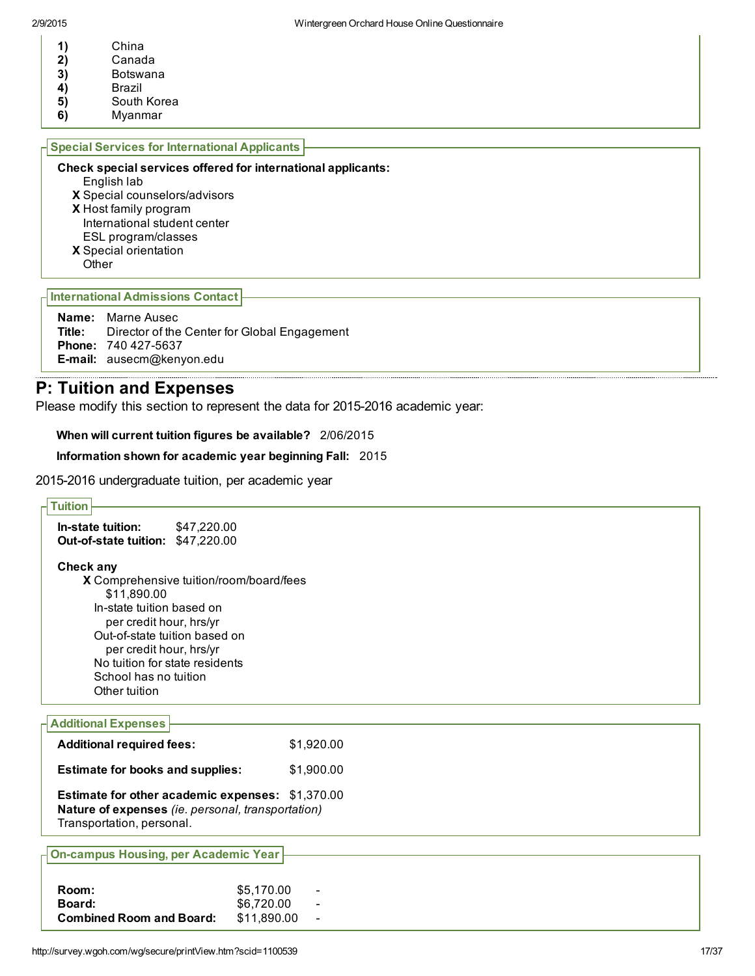- 
- 1) China<br>2) Canad 2) Canada<br>3) Botswan
- **Botswana**
- 4) Brazil
- 5) South Korea<br>6) Myanmar
- 6) Myanmar

#### Check special services offered for international applicants:

- English lab
- X Special counselors/advisors
- X Host family program

International student center ESL program/classes

- X Special orientation
- **Other**

International Admissions Contact

| <b>Name:</b> Marne Ausec                                   |
|------------------------------------------------------------|
| <b>Title:</b> Director of the Center for Global Engagement |
| <b>Phone: 740 427-5637</b>                                 |
| <b>E-mail:</b> ausecm@kenyon.edu                           |

## P: Tuition and Expenses

Please modify this section to represent the data for 2015-2016 academic year:

When will current tuition figures be available? 2/06/2015

#### Information shown for academic year beginning Fall: 2015

2015-2016 undergraduate tuition, per academic year

| <b>Tuition</b>                                          |             |  |
|---------------------------------------------------------|-------------|--|
| In-state tuition:<br>\$47,220.00                        |             |  |
|                                                         |             |  |
| Out-of-state tuition: \$47,220.00                       |             |  |
| Check any                                               |             |  |
| X Comprehensive tuition/room/board/fees                 |             |  |
| \$11,890.00                                             |             |  |
| In-state tuition based on                               |             |  |
| per credit hour, hrs/yr                                 |             |  |
| Out-of-state tuition based on                           |             |  |
| per credit hour, hrs/yr                                 |             |  |
| No tuition for state residents                          |             |  |
| School has no tuition                                   |             |  |
| Other tuition                                           |             |  |
|                                                         |             |  |
| <b>Additional Expenses</b>                              |             |  |
|                                                         |             |  |
| <b>Additional required fees:</b>                        | \$1,920.00  |  |
|                                                         |             |  |
| <b>Estimate for books and supplies:</b>                 | \$1,900.00  |  |
| <b>Estimate for other academic expenses: \$1,370.00</b> |             |  |
| Nature of expenses (ie. personal, transportation)       |             |  |
| Transportation, personal.                               |             |  |
|                                                         |             |  |
|                                                         |             |  |
| <b>On-campus Housing, per Academic Year</b>             |             |  |
|                                                         |             |  |
| Room:                                                   | \$5,170.00  |  |
| Board:                                                  | \$6,720.00  |  |
| <b>Combined Room and Board:</b>                         | \$11,890.00 |  |
|                                                         |             |  |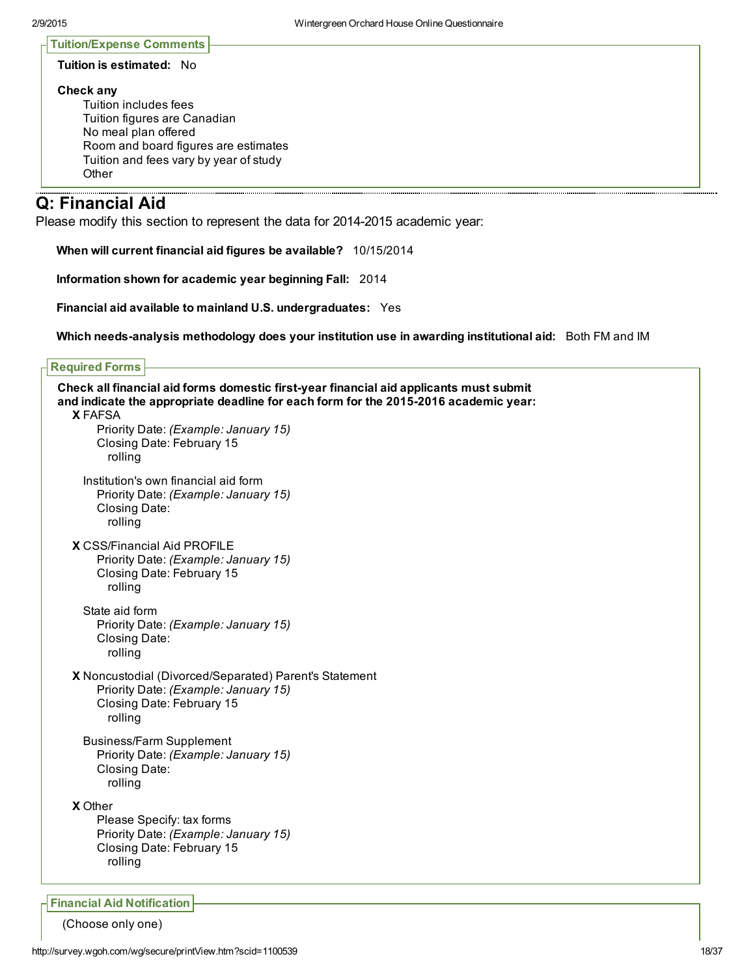П

| Tuition/Expense Comments  - |
|-----------------------------|
|-----------------------------|

#### Tuition is estimated: No

#### Check any

Tuition includes fees Tuition figures are Canadian No meal plan offered Room and board figures are estimates Tuition and fees vary by year of study **Other** 

## Q: Financial Aid

Please modify this section to represent the data for 2014-2015 academic year:

When will current financial aid figures be available? 10/15/2014

Information shown for academic year beginning Fall: 2014

Financial aid available to mainland U.S. undergraduates: Yes

Which needs-analysis methodology does your institution use in awarding institutional aid: Both FM and IM

#### Required Forms

| Check all financial aid forms domestic first-year financial aid applicants must submit<br>and indicate the appropriate deadline for each form for the 2015-2016 academic year: |
|--------------------------------------------------------------------------------------------------------------------------------------------------------------------------------|
| <b>X FAFSA</b><br>Priority Date: (Example: January 15)<br>Closing Date: February 15<br>rolling                                                                                 |
| Institution's own financial aid form<br>Priority Date: (Example: January 15)<br>Closing Date:<br>rolling                                                                       |
| <b>X CSS/Financial Aid PROFILE</b><br>Priority Date: (Example: January 15)<br>Closing Date: February 15<br>rolling                                                             |
| State aid form<br>Priority Date: (Example: January 15)<br>Closing Date:<br>rolling                                                                                             |
| X Noncustodial (Divorced/Separated) Parent's Statement<br>Priority Date: (Example: January 15)<br>Closing Date: February 15<br>rolling                                         |
| <b>Business/Farm Supplement</b><br>Priority Date: (Example: January 15)<br>Closing Date:<br>rolling                                                                            |
| <b>X</b> Other<br>Please Specify: tax forms<br>Priority Date: (Example: January 15)<br>Closing Date: February 15<br>rolling                                                    |
| <b>Financial Aid Notification</b>                                                                                                                                              |

(Choose only one)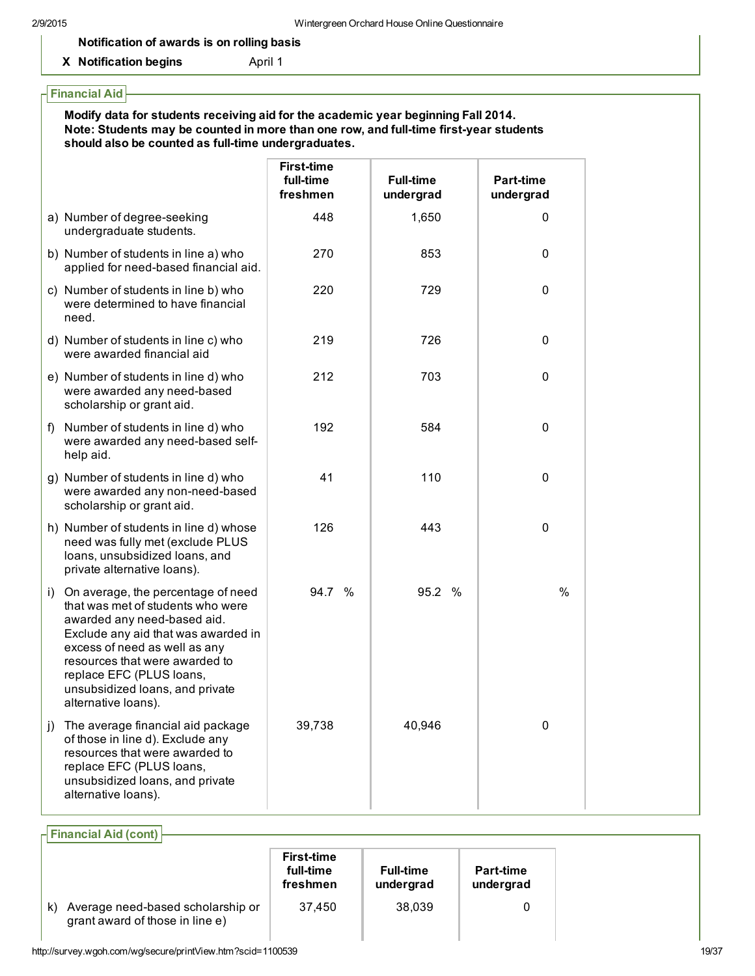#### Notification of awards is on rolling basis

X Notification begins **April 1** 

#### Financial Aid Modify data for students receiving aid for the academic year beginning Fall 2014. Note: Students may be counted in more than one row, and full-time first-year students should also be counted as full-time undergraduates. **First-time** full-time freshmen **Full-time** undergrad Part-time undergrad a) Number of degree-seeking undergraduate students. 448 1,650 0 b) Number of students in line a) who applied for need-based financial aid. 270 853 0 c) Number of students in line b) who were determined to have financial need. 220 729 0 d) Number of students in line c) who were awarded financial aid 219 726 0 e) Number of students in line d) who were awarded any need-based scholarship or grant aid. 212 703 0 f) Number of students in line d) who were awarded any need-based selfhelp aid. 192 584 0 g) Number of students in line d) who were awarded any non-need-based scholarship or grant aid. 41 110 0 h) Number of students in line d) whose need was fully met (exclude PLUS loans, unsubsidized loans, and private alternative loans). 126 443 0 i) On average, the percentage of need that was met of students who were awarded any need-based aid. Exclude any aid that was awarded in excess of need as well as any resources that were awarded to replace EFC (PLUS loans, unsubsidized loans, and private alternative loans). 94.7 % 95.2 % % j) The average financial aid package of those in line d). Exclude any resources that were awarded to replace EFC (PLUS loans, unsubsidized loans, and private alternative loans). 39,738 40,946 0

Financial Aid (cont) First-time full-time freshmen **Full-time** undergrad Part-time undergrad k) Average need-based scholarship or grant award of those in line e) 37,450 38,039 0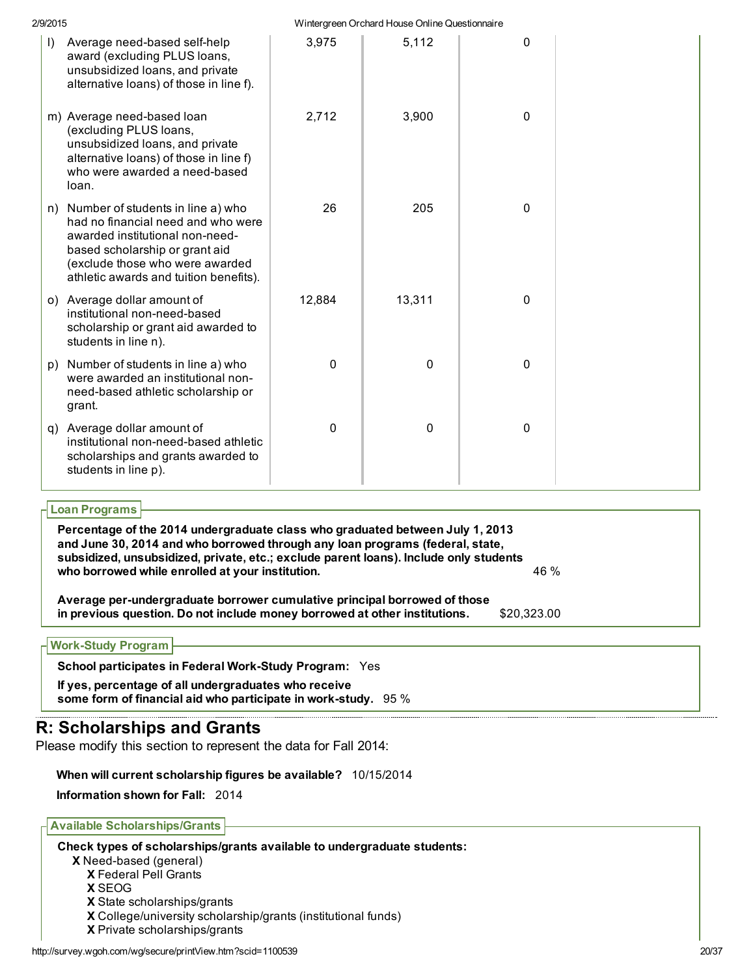| 2/9/2015                                                                                                                                                                                                                        |              | Wintergreen Orchard House Online Questionnaire |   |  |
|---------------------------------------------------------------------------------------------------------------------------------------------------------------------------------------------------------------------------------|--------------|------------------------------------------------|---|--|
| $\vert$ )<br>Average need-based self-help<br>award (excluding PLUS loans,<br>unsubsidized loans, and private<br>alternative loans) of those in line f).                                                                         | 3,975        | 5,112                                          | 0 |  |
| m) Average need-based loan<br>(excluding PLUS loans,<br>unsubsidized loans, and private<br>alternative loans) of those in line f)<br>who were awarded a need-based<br>loan.                                                     | 2,712        | 3,900                                          | 0 |  |
| Number of students in line a) who<br>n)<br>had no financial need and who were<br>awarded institutional non-need-<br>based scholarship or grant aid<br>(exclude those who were awarded<br>athletic awards and tuition benefits). | 26           | 205                                            | 0 |  |
| o) Average dollar amount of<br>institutional non-need-based<br>scholarship or grant aid awarded to<br>students in line n).                                                                                                      | 12,884       | 13,311                                         | 0 |  |
| Number of students in line a) who<br>p)<br>were awarded an institutional non-<br>need-based athletic scholarship or<br>grant.                                                                                                   | $\mathbf 0$  | 0                                              | 0 |  |
| q) Average dollar amount of<br>institutional non-need-based athletic<br>scholarships and grants awarded to<br>students in line p).                                                                                              | $\mathbf{0}$ | 0                                              | 0 |  |

| Percentage of the 2014 undergraduate class who graduated between July 1, 2013<br>and June 30, 2014 and who borrowed through any loan programs (federal, state,<br>subsidized, unsubsidized, private, etc.; exclude parent loans). Include only students |             |
|---------------------------------------------------------------------------------------------------------------------------------------------------------------------------------------------------------------------------------------------------------|-------------|
| who borrowed while enrolled at your institution.                                                                                                                                                                                                        | 46 %        |
| Average per-undergraduate borrower cumulative principal borrowed of those<br>in previous question. Do not include money borrowed at other institutions.                                                                                                 | \$20.323.00 |

## Work-Study Program

School participates in Federal Work-Study Program: Yes

If yes, percentage of all undergraduates who receive some form of financial aid who participate in work-study.  $95\%$ 

# R: Scholarships and Grants

Please modify this section to represent the data for Fall 2014:

## When will current scholarship figures be available? 10/15/2014

Information shown for Fall: 2014

## Available Scholarships/Grants

Check types of scholarships/grants available to undergraduate students:

X Need-based (general)

X Federal Pell Grants

X SEOG

X State scholarships/grants

X College/university scholarship/grants (institutional funds)

X Private scholarships/grants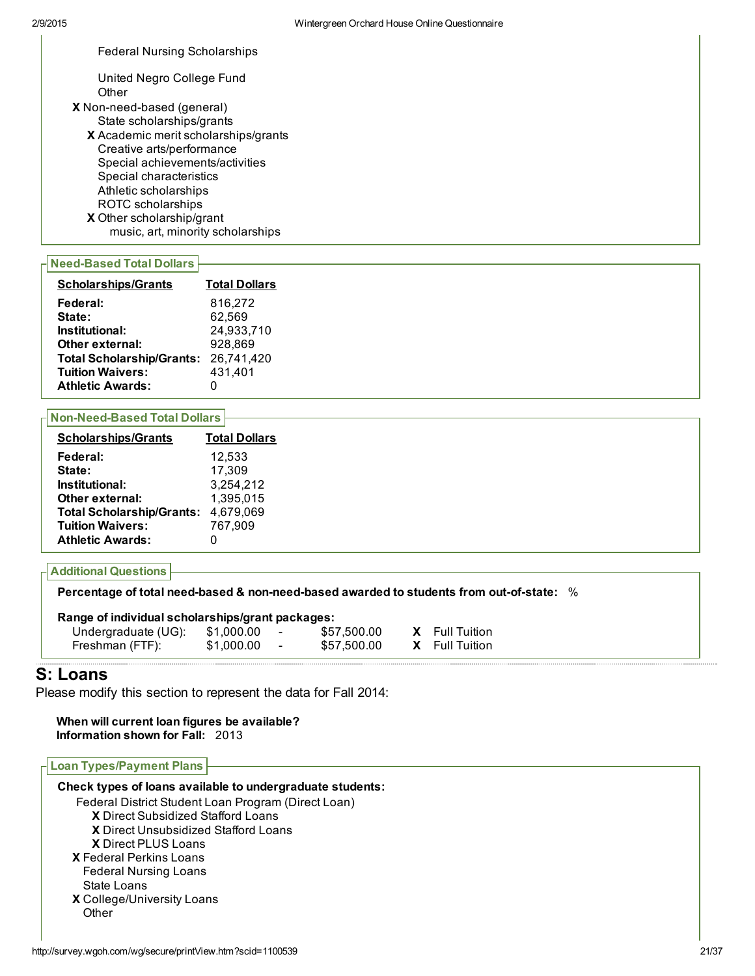Federal Nursing Scholarships

United Negro College Fund **Other** 

- X Non-need-based (general) State scholarships/grants
	- X Academic merit scholarships/grants X Other scholarship/grant Creative arts/performance Special achievements/activities Special characteristics Athletic scholarships ROTC scholarships music, art, minority scholarships

#### **Need-Based Total Dollars**

| <b>Scholarships/Grants</b>       | <b>Total Dollars</b> |
|----------------------------------|----------------------|
| Federal:                         | 816,272              |
| State:                           | 62,569               |
| Institutional:                   | 24,933,710           |
| Other external:                  | 928,869              |
| <b>Total Scholarship/Grants:</b> | 26,741,420           |
| <b>Tuition Waivers:</b>          | 431,401              |
| <b>Athletic Awards:</b>          |                      |

#### **Non-Need-Based Total Dollars**

| <b>Scholarships/Grants</b>       | <b>Total Dollars</b> |
|----------------------------------|----------------------|
| Federal:                         | 12.533               |
| State:                           | 17,309               |
| Institutional:                   | 3,254,212            |
| Other external:                  | 1,395,015            |
| <b>Total Scholarship/Grants:</b> | 4,679,069            |
| <b>Tuition Waivers:</b>          | 767,909              |
| <b>Athletic Awards:</b>          | 0                    |
|                                  |                      |

### Additional Questions

Percentage of total need-based & non-need-based awarded to students from out-of-state:  $%$ 

| Range of individual scholarships/grant packages: |           |                   |
|--------------------------------------------------|-----------|-------------------|
| $\ln$ deubernache (LIC)                          | A 1 DO DO | <b>E57 500.00</b> |

| Undergraduate (UG):<br>Freshman (FTF): | \$1,000.00<br>\$1,000.00 | \$57,500.00<br>\$57,500.00 | <b>X</b> Full Tuition<br><b>X</b> Full Tuition |
|----------------------------------------|--------------------------|----------------------------|------------------------------------------------|
|                                        |                          |                            |                                                |

## S: Loans

Please modify this section to represent the data for Fall 2014:

When will current loan figures be available? Information shown for Fall: 2013

| <b>Loan Types/Payment Plans</b>                           |  |
|-----------------------------------------------------------|--|
| Check types of loans available to undergraduate students: |  |
| Federal District Student Loan Program (Direct Loan)       |  |
| <b>X</b> Direct Subsidized Stafford Loans                 |  |
| X Direct Unsubsidized Stafford Loans                      |  |
| <b>X</b> Direct PLUS Loans                                |  |
| <b>X</b> Federal Perkins Loans                            |  |
| <b>Federal Nursing Loans</b>                              |  |
| State Loans                                               |  |
| X College/University Loans                                |  |
| Other                                                     |  |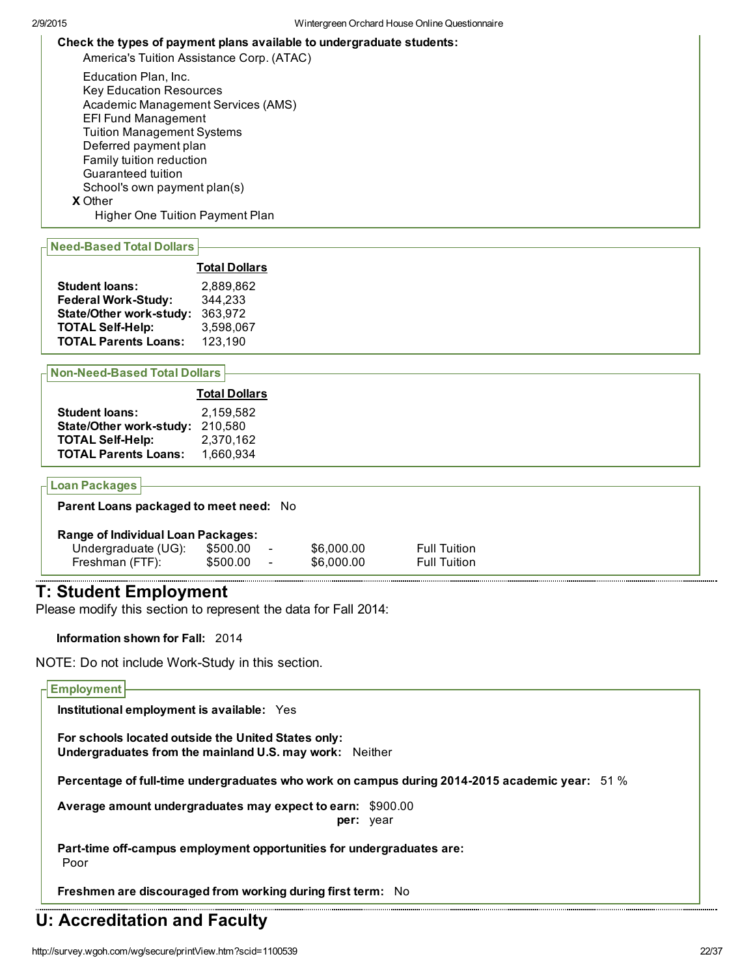#### Check the types of payment plans available to undergraduate students:

America's Tuition Assistance Corp. (ATAC)

X Other Education Plan, Inc. Key Education Resources Academic Management Services (AMS) EFI Fund Management Tuition Management Systems Deferred payment plan Family tuition reduction Guaranteed tuition School's own payment plan(s)

Higher One Tuition Payment Plan

#### **Need-Based Total Dollars**

|                                | <b>Total Dollars</b> |
|--------------------------------|----------------------|
| <b>Student loans:</b>          | 2.889.862            |
| <b>Federal Work-Study:</b>     | 344,233              |
| <b>State/Other work-study:</b> | 363,972              |
| <b>TOTAL Self-Help:</b>        | 3,598,067            |
| <b>TOTAL Parents Loans:</b>    | 123,190              |

#### **Non-Need-Based Total Dollars**

| 2.159.582 |
|-----------|
| 210.580   |
| 2,370,162 |
| 1,660,934 |
|           |

#### Loan Packages

| Parent Loans packaged to meet need: No |
|----------------------------------------|
|----------------------------------------|

|  |  | Range of Individual Loan Packages: |
|--|--|------------------------------------|

| lange of mulviqual Loan Packages. |          |                          |            |                     |
|-----------------------------------|----------|--------------------------|------------|---------------------|
| Undergraduate (UG):               | \$500.00 | $\overline{\phantom{a}}$ | \$6,000,00 | <b>Full Tuition</b> |
| Freshman (FTF):                   | \$500.00 | $\overline{\phantom{a}}$ | \$6,000,00 | <b>Full Tuition</b> |

## T: Student Employment

Please modify this section to represent the data for Fall 2014:

Information shown for Fall: 2014

NOTE: Do not include Work-Study in this section.

#### Employment

Institutional employment is available: Yes

For schools located outside the United States only: Undergraduates from the mainland U.S. may work: Neither

Percentage of full-time undergraduates who work on campus during 2014-2015 academic year:  $51\%$ 

Average amount undergraduates may expect to earn: \$900.00 per: year

Part-time off-campus employment opportunities for undergraduates are: Poor

Freshmen are discouraged from working during first term: No

## U: Accreditation and Faculty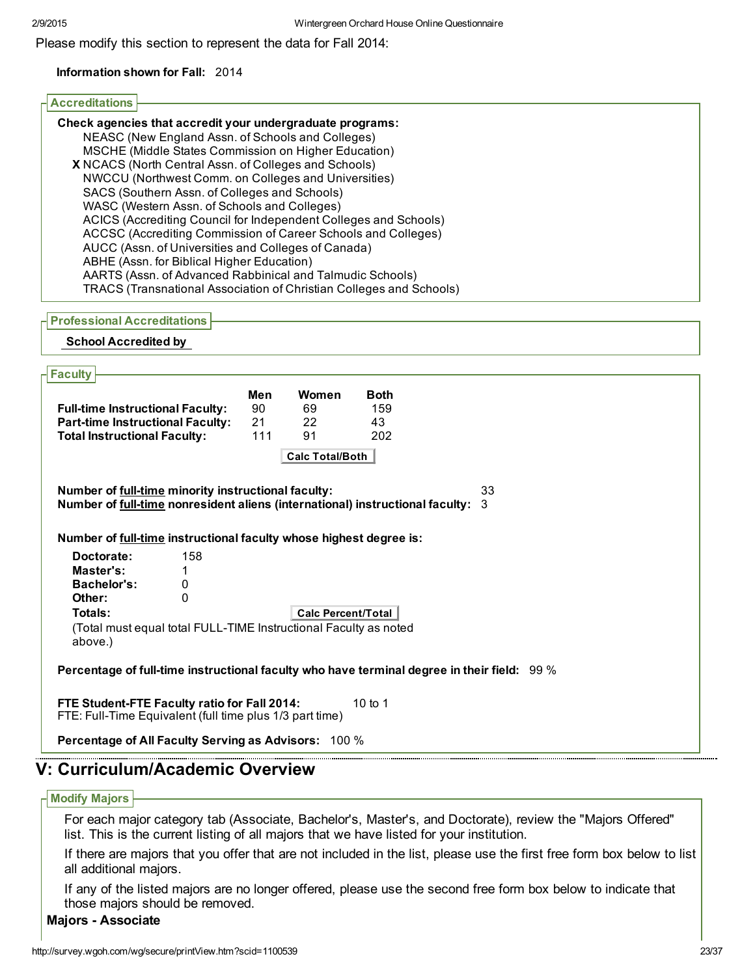Please modify this section to represent the data for Fall 2014:

#### Information shown for Fall: 2014

#### Accreditations

| Check agencies that accredit your undergraduate programs:                  |
|----------------------------------------------------------------------------|
| NEASC (New England Assn. of Schools and Colleges)                          |
| MSCHE (Middle States Commission on Higher Education)                       |
| X NCACS (North Central Assn. of Colleges and Schools)                      |
| NWCCU (Northwest Comm. on Colleges and Universities)                       |
| SACS (Southern Assn. of Colleges and Schools)                              |
| WASC (Western Assn. of Schools and Colleges)                               |
| ACICS (Accrediting Council for Independent Colleges and Schools)           |
| ACCSC (Accrediting Commission of Career Schools and Colleges)              |
| AUCC (Assn. of Universities and Colleges of Canada)                        |
| ABHE (Assn. for Biblical Higher Education)                                 |
| AARTS (Assn. of Advanced Rabbinical and Talmudic Schools)                  |
| <b>TRACS (Transnational Association of Christian Colleges and Schools)</b> |

#### Professional Accreditations

#### School Accredited by

| Faculty                                                                                    |     |                           |             |    |  |
|--------------------------------------------------------------------------------------------|-----|---------------------------|-------------|----|--|
|                                                                                            | Men | Women                     | <b>Both</b> |    |  |
| <b>Full-time Instructional Faculty:</b>                                                    | 90  | 69                        | 159         |    |  |
| <b>Part-time Instructional Faculty:</b>                                                    | 21  | 22                        | 43          |    |  |
| <b>Total Instructional Faculty:</b>                                                        | 111 | 91                        | 202         |    |  |
|                                                                                            |     | <b>Calc Total/Both</b>    |             |    |  |
| Number of full-time minority instructional faculty:                                        |     |                           |             | 33 |  |
| Number of full-time nonresident aliens (international) instructional faculty:              |     |                           |             | 3  |  |
|                                                                                            |     |                           |             |    |  |
| Number of full-time instructional faculty whose highest degree is:                         |     |                           |             |    |  |
| 158<br>Doctorate:                                                                          |     |                           |             |    |  |
| Master's:                                                                                  |     |                           |             |    |  |
| Bachelor's:<br>0                                                                           |     |                           |             |    |  |
| 0<br>Other:                                                                                |     |                           |             |    |  |
| Totals:                                                                                    |     | <b>Calc Percent/Total</b> |             |    |  |
| (Total must equal total FULL-TIME Instructional Faculty as noted                           |     |                           |             |    |  |
| above.)                                                                                    |     |                           |             |    |  |
| Percentage of full-time instructional faculty who have terminal degree in their field: 99% |     |                           |             |    |  |
|                                                                                            |     |                           |             |    |  |
| FTE Student-FTE Faculty ratio for Fall 2014:                                               |     |                           | 10 to 1     |    |  |
| FTE: Full-Time Equivalent (full time plus 1/3 part time)                                   |     |                           |             |    |  |
| <b>Percentage of All Faculty Serving as Advisors: 100 %</b>                                |     |                           |             |    |  |
|                                                                                            |     |                           |             |    |  |
| : Curriculum/Academic Overview                                                             |     |                           |             |    |  |

#### Modify Majors

For each major category tab (Associate, Bachelor's, Master's, and Doctorate), review the "Majors Offered" list. This is the current listing of all majors that we have listed for your institution.

If there are majors that you offer that are not included in the list, please use the first free form box below to list all additional majors.

If any of the listed majors are no longer offered, please use the second free form box below to indicate that those majors should be removed.

### **Majors - Associate**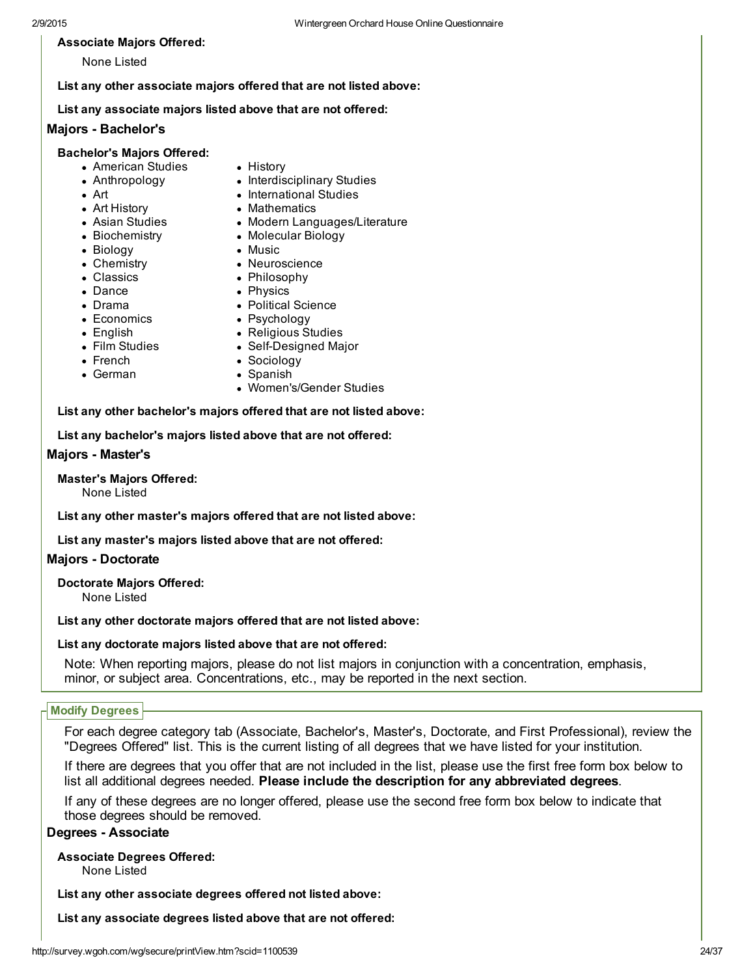2/9/2015 Wintergreen Orchard House Online Questionnaire

#### Associate Majors Offered:

None Listed

List any other associate majors offered that are not listed above:

List any associate majors listed above that are not offered:

#### Majors - Bachelor's

#### Bachelor's Majors Offered:

- American Studies
- Anthropology
- Art
- Art History
- Asian Studies
- Biochemistry
- Biology
- 
- Chemistry
- Classics
- Dance
- Drama
- Economics
- English
- Film Studies
- French
- German
- History
- Interdisciplinary Studies • International Studies
- Mathematics
- - Modern Languages/Literature
	- Molecular Biology
	- Music
	- Neuroscience
	- Philosophy
		- Political Science
		-
		- Religious Studies
		- Self-Designed Major
	- Sociology
	- Spanish
		- Women's/Gender Studies

List any other bachelor's majors offered that are not listed above:

List any bachelor's majors listed above that are not offered:

#### Majors - Master's

Master's Majors Offered: None Listed

List any other master's majors offered that are not listed above:

List any master's majors listed above that are not offered:

### **Majors - Doctorate**

Doctorate Majors Offered:

None Listed

List any other doctorate majors offered that are not listed above:

#### List any doctorate majors listed above that are not offered:

Note: When reporting majors, please do not list majors in conjunction with a concentration, emphasis, minor, or subject area. Concentrations, etc., may be reported in the next section.

### Modify Degrees

For each degree category tab (Associate, Bachelor's, Master's, Doctorate, and First Professional), review the "Degrees Offered" list. This is the current listing of all degrees that we have listed for your institution.

If there are degrees that you offer that are not included in the list, please use the first free form box below to list all additional degrees needed. Please include the description for any abbreviated degrees.

If any of these degrees are no longer offered, please use the second free form box below to indicate that those degrees should be removed.

#### Degrees - Associate

Associate Degrees Offered:

None Listed

List any other associate degrees offered not listed above:

List any associate degrees listed above that are not offered:

- Physics
- 
- Psychology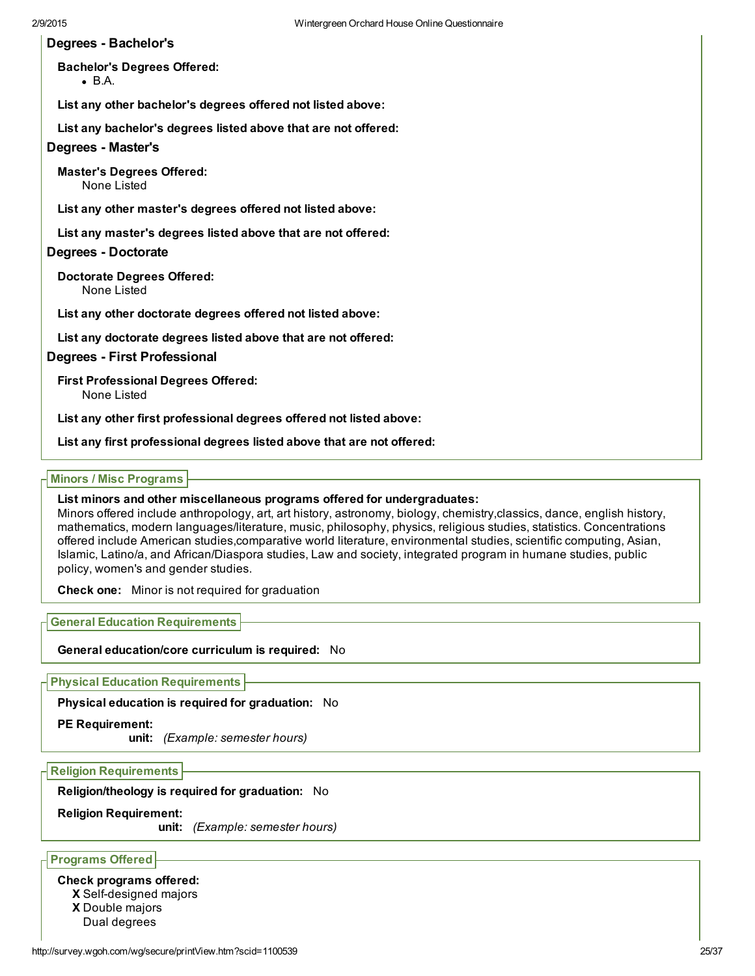#### Degrees - Bachelor's

Bachelor's Degrees Offered:

B.A.

List any other bachelor's degrees offered not listed above:

List any bachelor's degrees listed above that are not offered:

#### Degrees - Master's

Master's Degrees Offered: None Listed

List any other master's degrees offered not listed above:

List any master's degrees listed above that are not offered:

#### Degrees - Doctorate

Doctorate Degrees Offered: None Listed

List any other doctorate degrees offered not listed above:

List any doctorate degrees listed above that are not offered:

#### Degrees First Professional

First Professional Degrees Offered: None Listed

List any other first professional degrees offered not listed above:

List any first professional degrees listed above that are not offered:

#### Minors / Misc Programs

#### List minors and other miscellaneous programs offered for undergraduates:

Minors offered include anthropology, art, art history, astronomy, biology, chemistry,classics, dance, english history, mathematics, modern languages/literature, music, philosophy, physics, religious studies, statistics. Concentrations offered include American studies,comparative world literature, environmental studies, scientific computing, Asian, Islamic, Latino/a, and African/Diaspora studies, Law and society, integrated program in humane studies, public policy, women's and gender studies.

Check one: Minor is not required for graduation

General Education Requirements

General education/core curriculum is required: No

Physical Education Requirements

Physical education is required for graduation: No

#### PE Requirement:

unit: *(Example: semester hours)*

Religion Requirements

Religion/theology is required for graduation: No

#### Religion Requirement:

unit: *(Example: semester hours)*

Programs Offered

#### Check programs offered:

X Self-designed majors

X Double majors

Dual degrees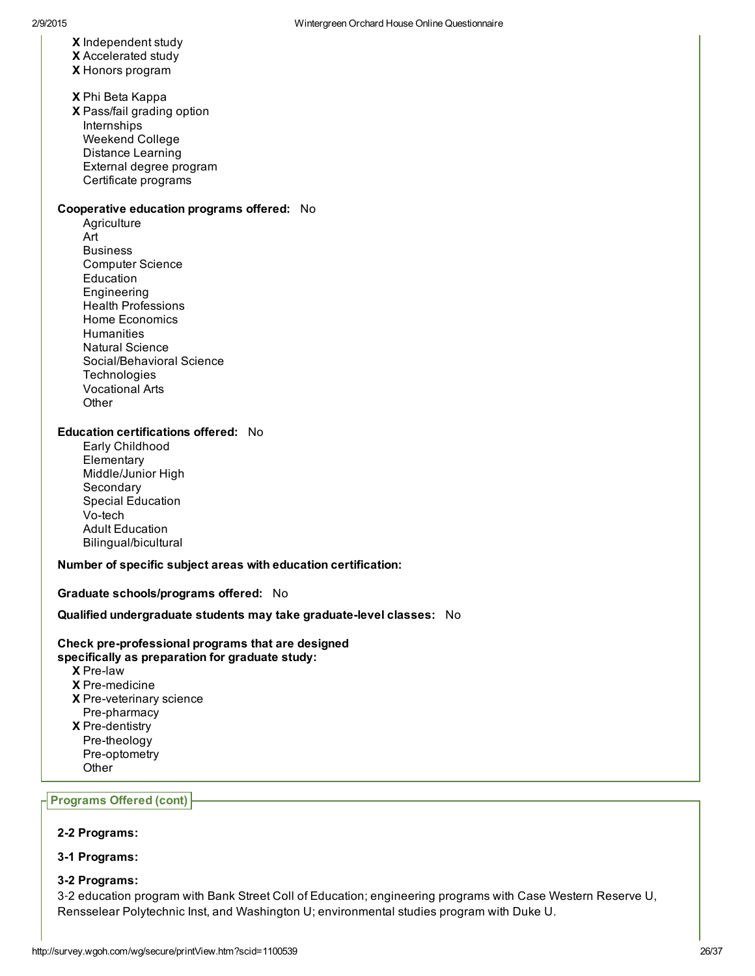- X Independent study
- X Accelerated study
- X Honors program
- X Phi Beta Kappa
- X Pass/fail grading option Internships Weekend College Distance Learning External degree program
	- Certificate programs

#### Cooperative education programs offered: No

**Agriculture** Art Business Computer Science Education Engineering Health Professions Home Economics **Humanities** Natural Science Social/Behavioral Science **Technologies** Vocational Arts **Other** 

#### Education certifications offered: No

Early Childhood **Elementary** Middle/Junior High **Secondary** Special Education Vo-tech Adult Education Bilingual/bicultural

#### Number of specific subject areas with education certification:

#### Graduate schools/programs offered: No

#### Qualified undergraduate students may take graduate-level classes: No

#### Check pre-professional programs that are designed specifically as preparation for graduate study:

- X Prelaw
- **X** Pre-medicine
- X Pre-veterinary science
- Pre-pharmacy
- **X** Pre-dentistry
- Pre-theology Pre-optometry
- **Other**

### Programs Offered (cont)

#### 2-2 Programs:

#### 3-1 Programs:

#### 32 Programs:

3‐2 education program with Bank Street Coll of Education; engineering programs with Case Western Reserve U, Rensselear Polytechnic Inst, and Washington U; environmental studies program with Duke U.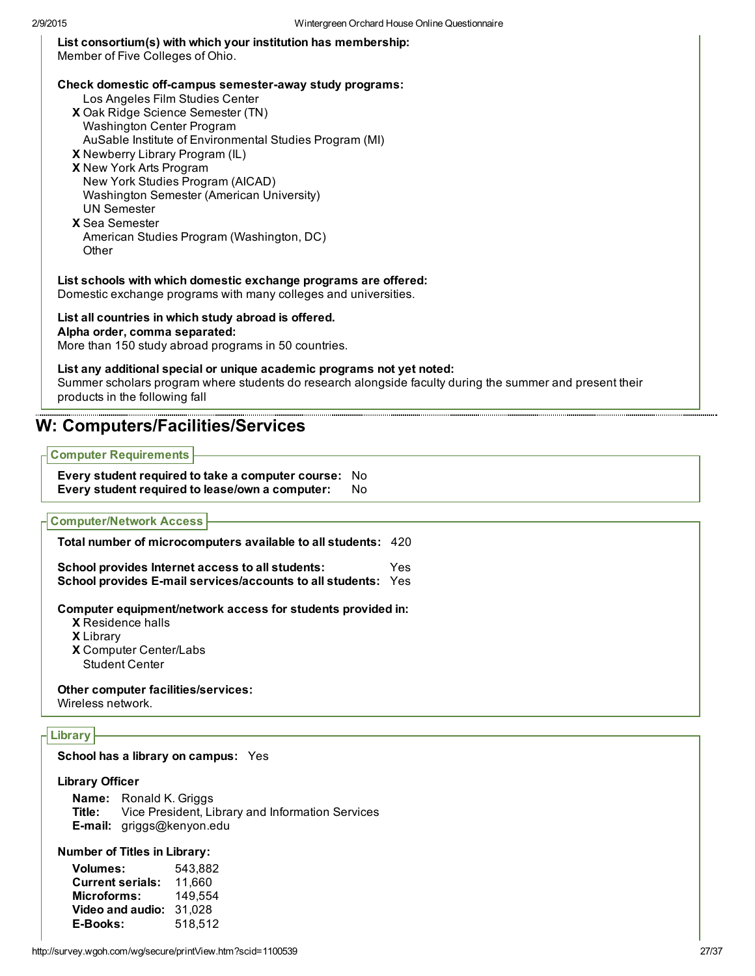## List consortium(s) with which your institution has membership:

Member of Five Colleges of Ohio.

#### Check domestic off-campus semester-away study programs:

- Los Angeles Film Studies Center
- X Oak Ridge Science Semester (TN) Washington Center Program
- AuSable Institute of Environmental Studies Program (MI)
- X Newberry Library Program (IL)
- X New York Arts Program New York Studies Program (AICAD) Washington Semester (American University) UN Semester
- X Sea Semester American Studies Program (Washington, DC) **Other**

List schools with which domestic exchange programs are offered:

Domestic exchange programs with many colleges and universities.

### List all countries in which study abroad is offered.

#### Alpha order, comma separated:

More than 150 study abroad programs in 50 countries.

#### List any additional special or unique academic programs not yet noted:

Summer scholars program where students do research alongside faculty during the summer and present their products in the following fall

## W: Computers/Facilities/Services

#### Computer Requirements

Every student required to take a computer course: No Every student required to lease/own a computer: No

Computer/Network Access

| Total number of microcomputers available to all students: 420                                                            |     |
|--------------------------------------------------------------------------------------------------------------------------|-----|
| School provides Internet access to all students:<br><b>School provides E-mail services/accounts to all students: Yes</b> | Yes |

Computer equipment/network access for students provided in:

- X Residence halls
- X Library
- X Computer Center/Labs
- Student Center

Other computer facilities/services:

Wireless network.

## Library

#### School has a library on campus: Yes

#### Library Officer

Name: Ronald K. Griggs Title: Vice President, Library and Information Services Email: griggs@kenyon.edu

### Number of Titles in Library:

Volumes: 543,882 Current serials: 11,660 Microforms: 149,554 Video and audio: 31,028 EBooks: 518,512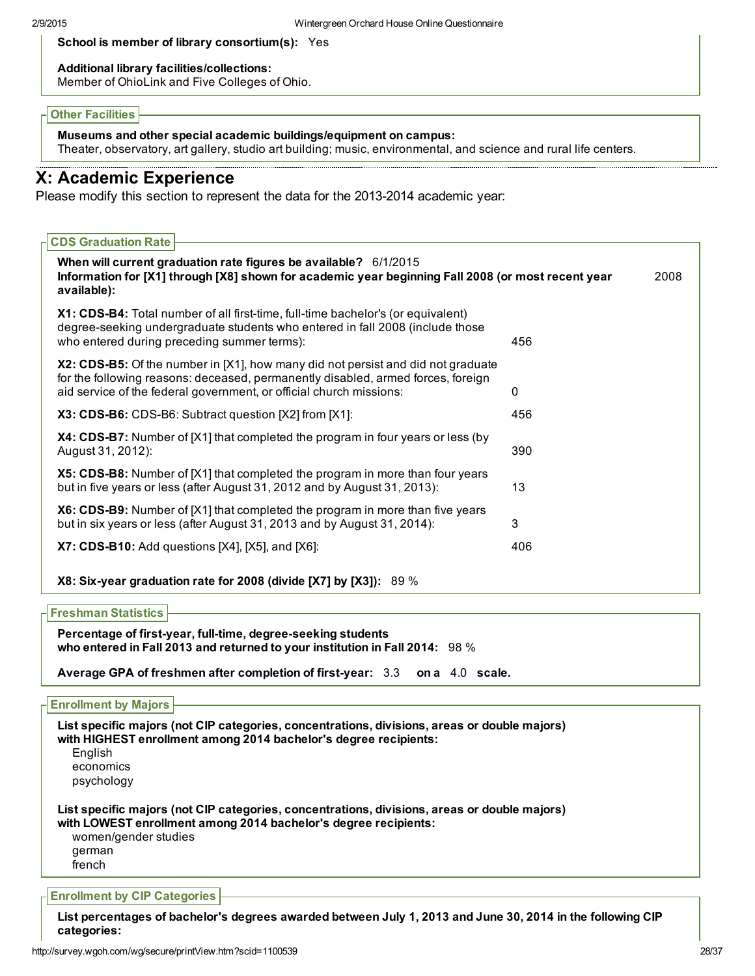#### School is member of library consortium(s): Yes

#### Additional library facilities/collections:

Member of OhioLink and Five Colleges of Ohio.

#### Other Facilities

Museums and other special academic buildings/equipment on campus:

Theater, observatory, art gallery, studio art building; music, environmental, and science and rural life centers.

## X: Academic Experience

Please modify this section to represent the data for the 2013-2014 academic year:

| <b>CDS Graduation Rate</b>                                                                                                                                                                                                                  |     |      |
|---------------------------------------------------------------------------------------------------------------------------------------------------------------------------------------------------------------------------------------------|-----|------|
| When will current graduation rate figures be available? 6/1/2015<br>Information for [X1] through [X8] shown for academic year beginning Fall 2008 (or most recent year<br>available):                                                       |     | 2008 |
| X1: CDS-B4: Total number of all first-time, full-time bachelor's (or equivalent)<br>degree-seeking undergraduate students who entered in fall 2008 (include those<br>who entered during preceding summer terms):                            | 456 |      |
| X2: CDS-B5: Of the number in [X1], how many did not persist and did not graduate<br>for the following reasons: deceased, permanently disabled, armed forces, foreign<br>aid service of the federal government, or official church missions: | 0   |      |
| X3: CDS-B6: CDS-B6: Subtract question [X2] from [X1]:                                                                                                                                                                                       | 456 |      |
| X4: CDS-B7: Number of [X1] that completed the program in four years or less (by<br>August 31, 2012):                                                                                                                                        | 390 |      |
| X5: CDS-B8: Number of [X1] that completed the program in more than four years<br>but in five years or less (after August 31, 2012 and by August 31, 2013):                                                                                  | 13  |      |
| X6: CDS-B9: Number of [X1] that completed the program in more than five years<br>but in six years or less (after August 31, 2013 and by August 31, 2014):                                                                                   | 3   |      |
| $X7:$ CDS-B10: Add questions $[X4]$ , $[X5]$ , and $[X6]$ :                                                                                                                                                                                 | 406 |      |
| X8: Six-year graduation rate for 2008 (divide [X7] by [X3]): 89 %                                                                                                                                                                           |     |      |

#### Freshman Statistics

Percentage of first-year, full-time, degree-seeking students who entered in Fall 2013 and returned to your institution in Fall 2014: 98 %

Average GPA of freshmen after completion of first-year: 3.3 on a 4.0 scale.

#### Enrollment by Majors

List specific majors (not CIP categories, concentrations, divisions, areas or double majors) with HIGHEST enrollment among 2014 bachelor's degree recipients: English economics psychology List specific majors (not CIP categories, concentrations, divisions, areas or double majors) with LOWEST enrollment among 2014 bachelor's degree recipients: women/gender studies german french

#### Enrollment by CIP Categories

List percentages of bachelor's degrees awarded between July 1, 2013 and June 30, 2014 in the following CIP categories: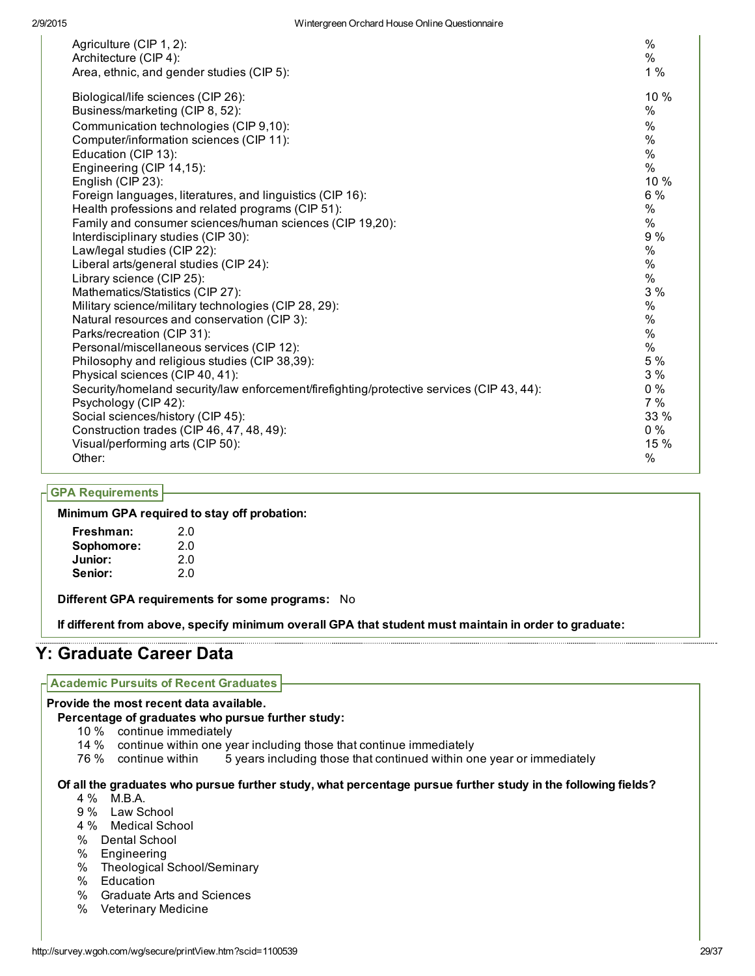| Agriculture (CIP 1, 2):                                                                   | $\frac{0}{0}$ |
|-------------------------------------------------------------------------------------------|---------------|
| Architecture (CIP 4):                                                                     | $\%$          |
| Area, ethnic, and gender studies (CIP 5):                                                 | 1%            |
| Biological/life sciences (CIP 26):                                                        | 10 %          |
| Business/marketing (CIP 8, 52):                                                           | %             |
| Communication technologies (CIP 9,10):                                                    | $\%$          |
| Computer/information sciences (CIP 11):                                                   | $\%$          |
| Education (CIP 13):                                                                       | $\%$          |
| Engineering (CIP 14,15):                                                                  | $\%$          |
| English (CIP 23):                                                                         | 10%           |
| Foreign languages, literatures, and linguistics (CIP 16):                                 | $6\%$         |
| Health professions and related programs (CIP 51):                                         | $\%$          |
| Family and consumer sciences/human sciences (CIP 19,20):                                  | %             |
| Interdisciplinary studies (CIP 30):                                                       | 9%            |
| Law/legal studies (CIP 22):                                                               | $\%$          |
| Liberal arts/general studies (CIP 24):                                                    | %             |
| Library science (CIP 25):                                                                 | $\%$          |
| Mathematics/Statistics (CIP 27):                                                          | 3%            |
| Military science/military technologies (CIP 28, 29):                                      | $\%$          |
| Natural resources and conservation (CIP 3):                                               | $\%$          |
| Parks/recreation (CIP 31):                                                                | $\%$          |
| Personal/miscellaneous services (CIP 12):                                                 | $\%$          |
| Philosophy and religious studies (CIP 38,39):                                             | 5 %           |
| Physical sciences (CIP 40, 41):                                                           | 3%            |
| Security/homeland security/law enforcement/firefighting/protective services (CIP 43, 44): | $0\%$         |
| Psychology (CIP 42):                                                                      | 7%            |
| Social sciences/history (CIP 45):                                                         | 33 %          |
| Construction trades (CIP 46, 47, 48, 49):                                                 | $0\%$         |
| Visual/performing arts (CIP 50):                                                          | 15 %          |
| Other:                                                                                    | %             |

#### GPA Requirements

Minimum GPA required to stay off probation:

| Freshman:  | 2.0 |
|------------|-----|
| Sophomore: | 2.0 |
| Junior:    | 2.0 |
| Senior:    | 2.0 |

Different GPA requirements for some programs: No

If different from above, specify minimum overall GPA that student must maintain in order to graduate:

## Y: Graduate Career Data

#### Academic Pursuits of Recent Graduates

#### Provide the most recent data available.

Percentage of graduates who pursue further study:

- 10 % continue immediately
- 14 % continue within one year including those that continue immediately
- 76 % continue within 5 years including those that continued within one year or immediately

#### Of all the graduates who pursue further study, what percentage pursue further study in the following fields?

- 4 % M.B.A.
- 9 % Law School
- 4 % Medical School
- % Dental School
- % Engineering
- % Theological School/Seminary
- % Education
- % Graduate Arts and Sciences
- % Veterinary Medicine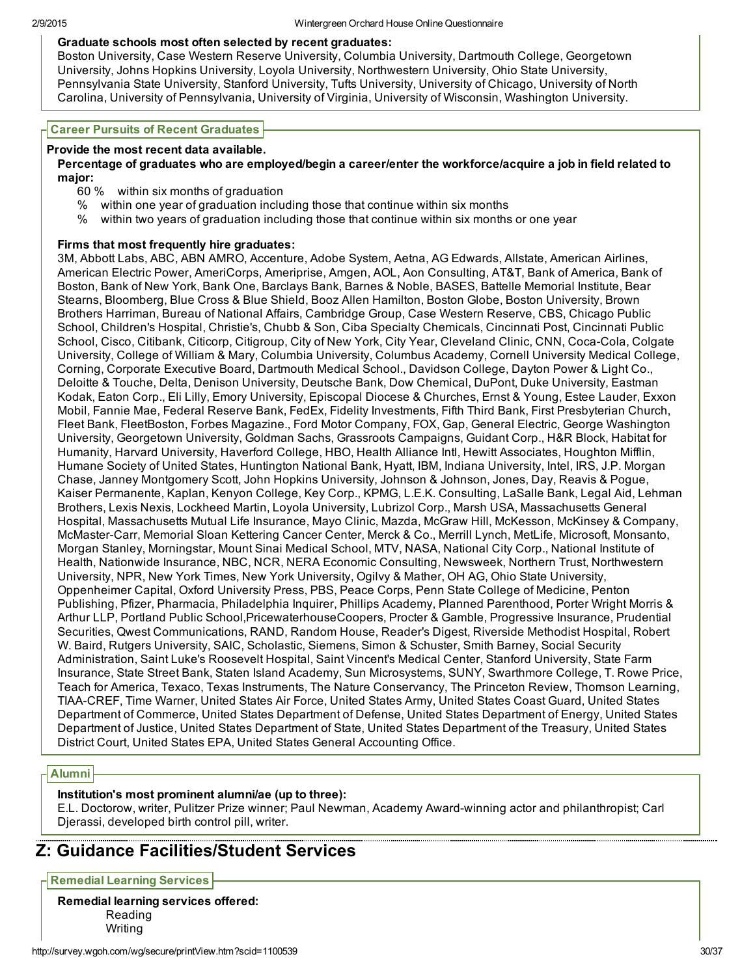#### Graduate schools most often selected by recent graduates:

Boston University, Case Western Reserve University, Columbia University, Dartmouth College, Georgetown University, Johns Hopkins University, Loyola University, Northwestern University, Ohio State University, Pennsylvania State University, Stanford University, Tufts University, University of Chicago, University of North Carolina, University of Pennsylvania, University of Virginia, University of Wisconsin, Washington University.

#### Career Pursuits of Recent Graduates

#### Provide the most recent data available.

#### Percentage of graduates who are employed/begin a career/enter the workforce/acquire a job in field related to major:

- 60 % within six months of graduation
- % within one year of graduation including those that continue within six months
- % within two years of graduation including those that continue within six months or one year

#### Firms that most frequently hire graduates:

3M, Abbott Labs, ABC, ABN AMRO, Accenture, Adobe System, Aetna, AG Edwards, Allstate, American Airlines, American Electric Power, AmeriCorps, Ameriprise, Amgen, AOL, Aon Consulting, AT&T, Bank of America, Bank of Boston, Bank of New York, Bank One, Barclays Bank, Barnes & Noble, BASES, Battelle Memorial Institute, Bear Stearns, Bloomberg, Blue Cross & Blue Shield, Booz Allen Hamilton, Boston Globe, Boston University, Brown Brothers Harriman, Bureau of National Affairs, Cambridge Group, Case Western Reserve, CBS, Chicago Public School, Children's Hospital, Christie's, Chubb & Son, Ciba Specialty Chemicals, Cincinnati Post, Cincinnati Public School, Cisco, Citibank, Citicorp, Citigroup, City of New York, City Year, Cleveland Clinic, CNN, Coca-Cola, Colgate University, College of William & Mary, Columbia University, Columbus Academy, Cornell University Medical College, Corning, Corporate Executive Board, Dartmouth Medical School., Davidson College, Dayton Power & Light Co., Deloitte & Touche, Delta, Denison University, Deutsche Bank, Dow Chemical, DuPont, Duke University, Eastman Kodak, Eaton Corp., Eli Lilly, Emory University, Episcopal Diocese & Churches, Ernst & Young, Estee Lauder, Exxon Mobil, Fannie Mae, Federal Reserve Bank, FedEx, Fidelity Investments, Fifth Third Bank, First Presbyterian Church, Fleet Bank, FleetBoston, Forbes Magazine., Ford Motor Company, FOX, Gap, General Electric, George Washington University, Georgetown University, Goldman Sachs, Grassroots Campaigns, Guidant Corp., H&R Block, Habitat for Humanity, Harvard University, Haverford College, HBO, Health Alliance Intl, Hewitt Associates, Houghton Mifflin, Humane Society of United States, Huntington National Bank, Hyatt, IBM, Indiana University, Intel, IRS, J.P. Morgan Chase, Janney Montgomery Scott, John Hopkins University, Johnson & Johnson, Jones, Day, Reavis & Pogue, Kaiser Permanente, Kaplan, Kenyon College, Key Corp., KPMG, L.E.K. Consulting, LaSalle Bank, Legal Aid, Lehman Brothers, Lexis Nexis, Lockheed Martin, Loyola University, Lubrizol Corp., Marsh USA, Massachusetts General Hospital, Massachusetts Mutual Life Insurance, Mayo Clinic, Mazda, McGraw Hill, McKesson, McKinsey & Company, McMasterCarr, Memorial Sloan Kettering Cancer Center, Merck & Co., Merrill Lynch, MetLife, Microsoft, Monsanto, Morgan Stanley, Morningstar, Mount Sinai Medical School, MTV, NASA, National City Corp., National Institute of Health, Nationwide Insurance, NBC, NCR, NERA Economic Consulting, Newsweek, Northern Trust, Northwestern University, NPR, New York Times, New York University, Ogilvy & Mather, OH AG, Ohio State University, Oppenheimer Capital, Oxford University Press, PBS, Peace Corps, Penn State College of Medicine, Penton Publishing, Pfizer, Pharmacia, Philadelphia Inquirer, Phillips Academy, Planned Parenthood, Porter Wright Morris & Arthur LLP, Portland Public School,PricewaterhouseCoopers, Procter & Gamble, Progressive Insurance, Prudential Securities, Qwest Communications, RAND, Random House, Reader's Digest, Riverside Methodist Hospital, Robert W. Baird, Rutgers University, SAIC, Scholastic, Siemens, Simon & Schuster, Smith Barney, Social Security Administration, Saint Luke's Roosevelt Hospital, Saint Vincent's Medical Center, Stanford University, State Farm Insurance, State Street Bank, Staten Island Academy, Sun Microsystems, SUNY, Swarthmore College, T. Rowe Price, Teach for America, Texaco, Texas Instruments, The Nature Conservancy, The Princeton Review, Thomson Learning, TIAACREF, Time Warner, United States Air Force, United States Army, United States Coast Guard, United States Department of Commerce, United States Department of Defense, United States Department of Energy, United States Department of Justice, United States Department of State, United States Department of the Treasury, United States District Court, United States EPA, United States General Accounting Office.

### Alumni

#### Institution's most prominent alumni/ae (up to three):

E.L. Doctorow, writer, Pulitzer Prize winner; Paul Newman, Academy Awardwinning actor and philanthropist; Carl Djerassi, developed birth control pill, writer.

## Z: Guidance Facilities/Student Services

Remedial Learning Services

Remedial learning services offered: Reading Writing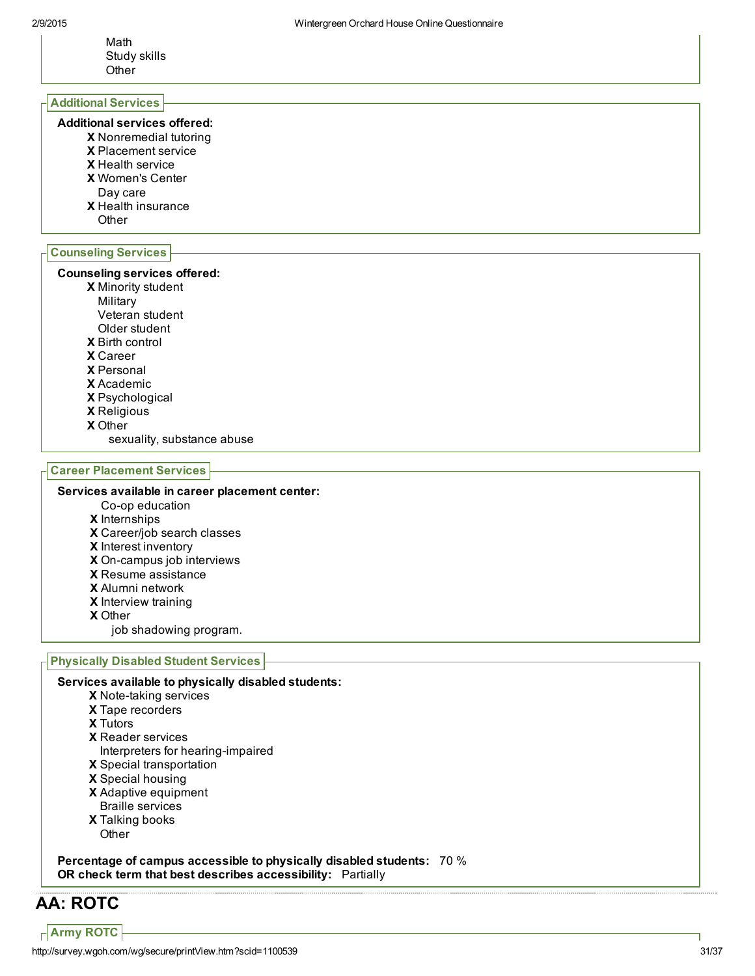Math Study skills **Other** 

#### Additional Services

#### Additional services offered:

- X Nonremedial tutoring
- X Placement service
- X Health service
- X Women's Center
- Day care
- X Health insurance
- **Other**

### Counseling Services

#### Counseling services offered:

- X Minority student
- Military
- Veteran student
- Older student
- X Birth control
- X Career
- X Personal
- X Academic
- X Psychological
- X Religious
- X Other
	- sexuality, substance abuse

#### Career Placement Services

#### Services available in career placement center:

- Co-op education
- X Internships
- X Career/job search classes
- X Interest inventory
- X On-campus job interviews
- X Resume assistance
- X Alumni network
- X Interview training
- X Other
	- job shadowing program.

#### Physically Disabled Student Services

#### Services available to physically disabled students:

- X Note-taking services
- X Tape recorders
- X Tutors
- X Reader services
- Interpreters for hearing-impaired
- X Special transportation
- X Special housing
- X Adaptive equipment Braille services
- X Talking books **Other**

Percentage of campus accessible to physically disabled students: 70 % OR check term that best describes accessibility: Partially

# AA: ROTC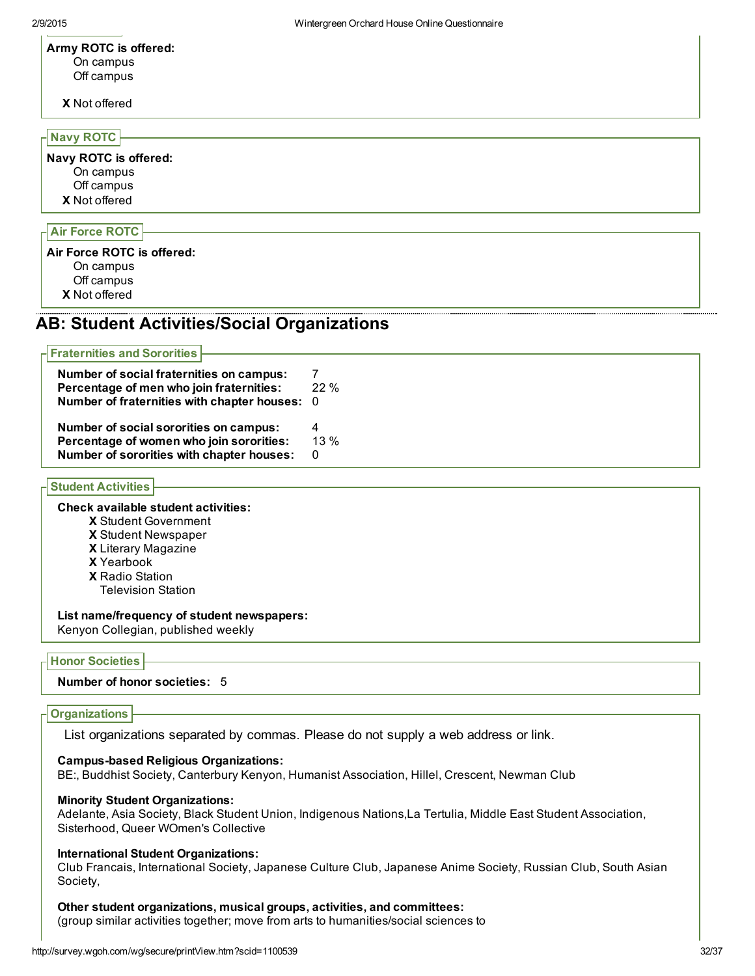#### Army ROTC is offered: On campus Off campus

X Not offered

#### Navy ROTC

X Not offered Navy ROTC is offered: On campus Off campus

### Air Force ROTC

X Not offered Air Force ROTC is offered: On campus Off campus

## AB: Student Activities/Social Organizations

| $\overline{\mathsf{H}}$ Fraternities and Sororities |         |
|-----------------------------------------------------|---------|
| Number of social fraternities on campus:            |         |
| Percentage of men who join fraternities:            | $22 \%$ |
| Number of fraternities with chapter houses: 0       |         |
| Number of social sororities on campus:              | 4       |
| Percentage of women who join sororities:            | $13\%$  |
| Number of sororities with chapter houses:           | 0       |

### Student Activities

#### Check available student activities:

X Student Government

- X Student Newspaper
- X Literary Magazine
- X Yearbook
- X Radio Station

Television Station

#### List name/frequency of student newspapers:

Kenyon Collegian, published weekly

#### Honor Societies

#### Number of honor societies: 5

#### **Organizations**

List organizations separated by commas. Please do not supply a web address or link.

#### Campus-based Religious Organizations:

BE:, Buddhist Society, Canterbury Kenyon, Humanist Association, Hillel, Crescent, Newman Club

#### Minority Student Organizations:

Adelante, Asia Society, Black Student Union, Indigenous Nations,La Tertulia, Middle East Student Association, Sisterhood, Queer WOmen's Collective

#### International Student Organizations:

Club Francais, International Society, Japanese Culture Club, Japanese Anime Society, Russian Club, South Asian Society,

#### Other student organizations, musical groups, activities, and committees:

(group similar activities together; move from arts to humanities/social sciences to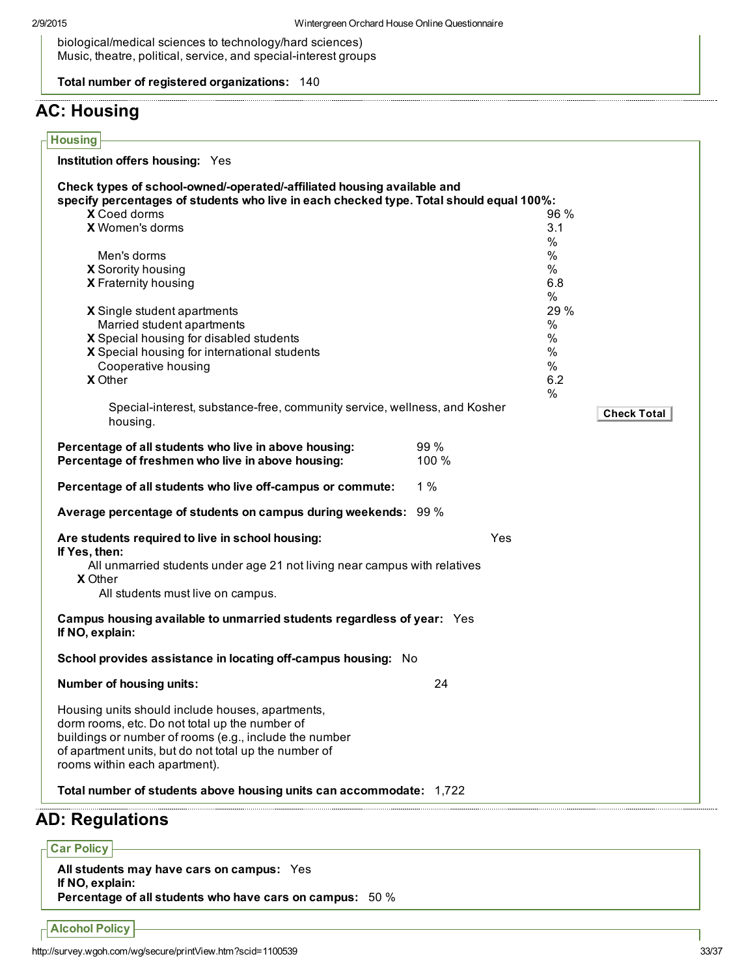biological/medical sciences to technology/hard sciences) Music, theatre, political, service, and special-interest groups

Total number of registered organizations: 140

# AC: Housing

| Check types of school-owned/-operated/-affiliated housing available and<br>specify percentages of students who live in each checked type. Total should equal 100%: |       |      |                    |
|--------------------------------------------------------------------------------------------------------------------------------------------------------------------|-------|------|--------------------|
| X Coed dorms                                                                                                                                                       |       | 96%  |                    |
| X Women's dorms                                                                                                                                                    |       | 3.1  |                    |
|                                                                                                                                                                    |       | %    |                    |
| Men's dorms                                                                                                                                                        |       | %    |                    |
| X Sorority housing                                                                                                                                                 |       | %    |                    |
| X Fraternity housing                                                                                                                                               |       | 6.8  |                    |
|                                                                                                                                                                    |       | $\%$ |                    |
| X Single student apartments                                                                                                                                        |       | 29 % |                    |
| Married student apartments                                                                                                                                         |       | $\%$ |                    |
| X Special housing for disabled students                                                                                                                            |       | $\%$ |                    |
| X Special housing for international students                                                                                                                       |       | $\%$ |                    |
| Cooperative housing                                                                                                                                                |       | %    |                    |
| <b>X</b> Other                                                                                                                                                     |       | 6.2  |                    |
|                                                                                                                                                                    |       | %    |                    |
| Special-interest, substance-free, community service, wellness, and Kosher                                                                                          |       |      |                    |
| housing.                                                                                                                                                           |       |      | <b>Check Total</b> |
|                                                                                                                                                                    |       |      |                    |
| Percentage of all students who live in above housing:                                                                                                              | 99 %  |      |                    |
| Percentage of freshmen who live in above housing:                                                                                                                  | 100 % |      |                    |
| Percentage of all students who live off-campus or commute:                                                                                                         | $1\%$ |      |                    |
| Average percentage of students on campus during weekends: 99 %                                                                                                     |       |      |                    |
| Are students required to live in school housing:                                                                                                                   | Yes   |      |                    |
| If Yes, then:                                                                                                                                                      |       |      |                    |
| All unmarried students under age 21 not living near campus with relatives                                                                                          |       |      |                    |
| <b>X</b> Other                                                                                                                                                     |       |      |                    |
| All students must live on campus.                                                                                                                                  |       |      |                    |
| Campus housing available to unmarried students regardless of year: Yes<br>If NO, explain:                                                                          |       |      |                    |
| School provides assistance in locating off-campus housing: No                                                                                                      |       |      |                    |
| <b>Number of housing units:</b>                                                                                                                                    | 24    |      |                    |
| Housing units should include houses, apartments,                                                                                                                   |       |      |                    |
| dorm rooms, etc. Do not total up the number of                                                                                                                     |       |      |                    |
| buildings or number of rooms (e.g., include the number                                                                                                             |       |      |                    |
| of apartment units, but do not total up the number of                                                                                                              |       |      |                    |
| rooms within each apartment).                                                                                                                                      |       |      |                    |
|                                                                                                                                                                    |       |      |                    |
| Total number of students above housing units can accommodate: 1,722                                                                                                |       |      |                    |

All students may have cars on campus: Yes If NO, explain: Percentage of all students who have cars on campus: 50 %

Alcohol Policy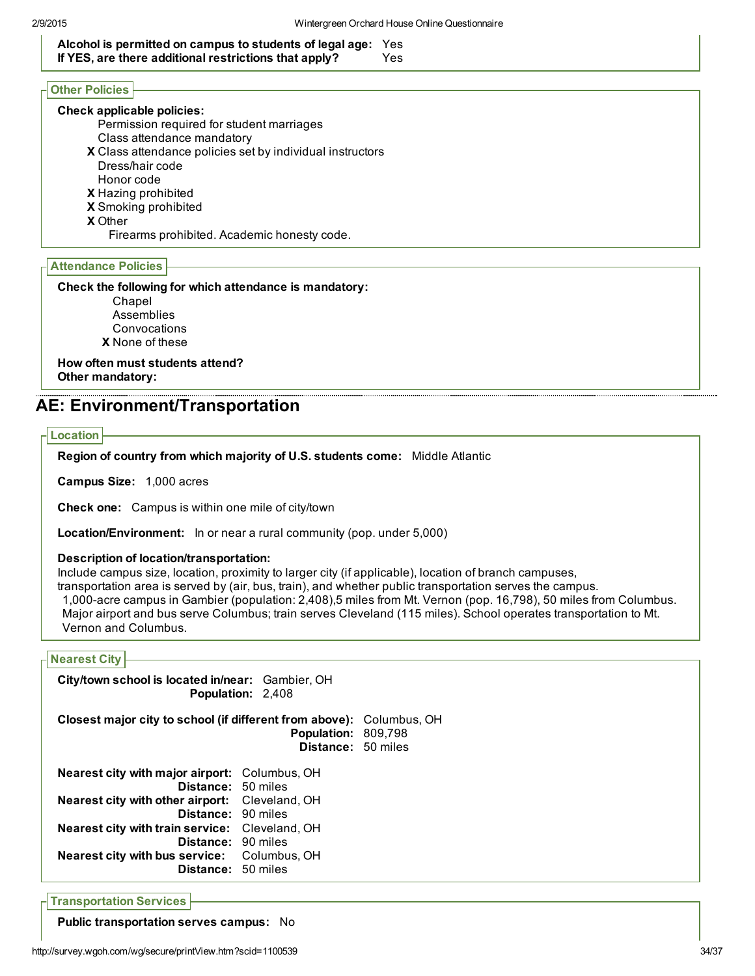Alcohol is permitted on campus to students of legal age: Yes If YES, are there additional restrictions that apply? Yes

### Other Policies

#### Check applicable policies:

- Permission required for student marriages Class attendance mandatory
- X Class attendance policies set by individual instructors
- Dress/hair code
- Honor code
- X Hazing prohibited
- X Smoking prohibited
- X Other

Firearms prohibited. Academic honesty code.

#### Attendance Policies

Check the following for which attendance is mandatory:

X None of these Chapel Assemblies **Convocations** 

How often must students attend? Other mandatory:

## AE: Environment/Transportation

#### Location

Region of country from which majority of U.S. students come: Middle Atlantic

Campus Size: 1,000 acres

Check one: Campus is within one mile of city/town

Location/Environment: In or near a rural community (pop. under 5,000)

#### Description of location/transportation:

Include campus size, location, proximity to larger city (if applicable), location of branch campuses,

transportation area is served by (air, bus, train), and whether public transportation serves the campus. 1,000-acre campus in Gambier (population: 2,408),5 miles from Mt. Vernon (pop. 16,798), 50 miles from Columbus. Major airport and bus serve Columbus; train serves Cleveland (115 miles). School operates transportation to Mt. Vernon and Columbus.

#### Nearest City

| City/town school is located in/near: Gambier, OH                                                                                                                                                                                                                                                                                          | <b>Population: 2,408</b>                         |  |
|-------------------------------------------------------------------------------------------------------------------------------------------------------------------------------------------------------------------------------------------------------------------------------------------------------------------------------------------|--------------------------------------------------|--|
| <b>Closest major city to school (if different from above):</b> Columbus, OH                                                                                                                                                                                                                                                               | <b>Population: 809,798</b><br>Distance: 50 miles |  |
| <b>Nearest city with major airport:</b> Columbus, OH<br><b>Distance: 50 miles</b><br><b>Nearest city with other airport:</b> Cleveland, OH<br>Distance: 90 miles<br><b>Nearest city with train service:</b> Cleveland, OH<br><b>Distance: 90 miles</b><br><b>Nearest city with bus service:</b> Columbus, OH<br><b>Distance: 50 miles</b> |                                                  |  |

Transportation Services

Public transportation serves campus: No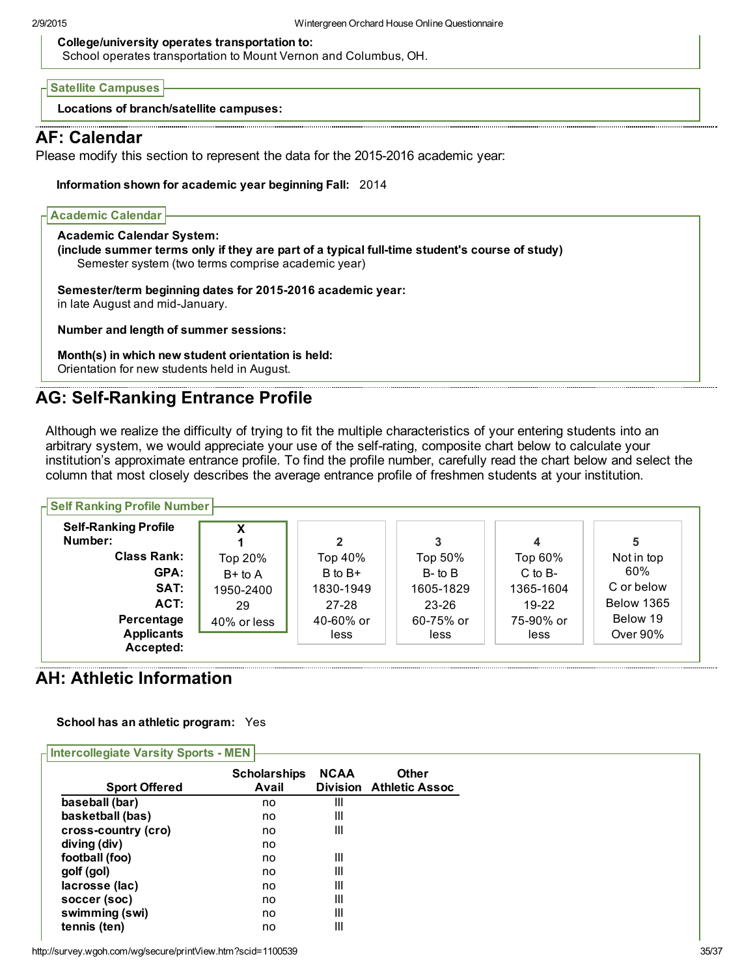#### College/university operates transportation to:

School operates transportation to Mount Vernon and Columbus, OH.

Satellite Campuses

Locations of branch/satellite campuses:

## AF: Calendar

Please modify this section to represent the data for the 2015-2016 academic year:

Information shown for academic year beginning Fall: 2014

| <b>Academic Calendar</b>         |                                                                                                                                                     |  |
|----------------------------------|-----------------------------------------------------------------------------------------------------------------------------------------------------|--|
| <b>Academic Calendar System:</b> | (include summer terms only if they are part of a typical full-time student's course of study)<br>Semester system (two terms comprise academic year) |  |
| in late August and mid-January.  | Semester/term beginning dates for 2015-2016 academic year:                                                                                          |  |
|                                  | Number and length of summer sessions:                                                                                                               |  |
|                                  | Month(s) in which new student orientation is held:<br>Orientation for new students held in August.                                                  |  |

## AG: Self-Ranking Entrance Profile

Although we realize the difficulty of trying to fit the multiple characteristics of your entering students into an arbitrary system, we would appreciate your use of the selfrating, composite chart below to calculate your institution's approximate entrance profile. To find the profile number, carefully read the chart below and select the column that most closely describes the average entrance profile of freshmen students at your institution.

| <b>H</b> Self Ranking Profile Number |                   |                   |                   |                      |
|--------------------------------------|-------------------|-------------------|-------------------|----------------------|
| x                                    | $\mathbf{2}$      |                   | 4                 | 5                    |
| Top 20%                              | Top 40%           | Top 50%           | Top 60%           | Not in top           |
| B+ to A                              | $B$ to $B+$       | $B$ - to $B$      | $C$ to $B-$       | 60%                  |
| 1950-2400                            | 1830-1949         | 1605-1829         | 1365-1604         | C or below           |
| 29                                   | $27 - 28$         | $23 - 26$         | $19-22$           | <b>Below 1365</b>    |
| 40% or less                          | 40-60% or<br>less | 60-75% or<br>less | 75-90% or<br>less | Below 19<br>Over 90% |
|                                      |                   |                   |                   |                      |

## AH: Athletic Information

School has an athletic program: Yes

| H Intercollegiate Varsity Sports - MEN |                     |             |                                |
|----------------------------------------|---------------------|-------------|--------------------------------|
|                                        | <b>Scholarships</b> | <b>NCAA</b> | <b>Other</b>                   |
| <b>Sport Offered</b>                   | Avail               |             | <b>Division Athletic Assoc</b> |
| baseball (bar)                         | no                  | Ш           |                                |
| basketball (bas)                       | no                  | Ш           |                                |
| cross-country (cro)                    | no                  | Ш           |                                |
| diving (div)                           | no                  |             |                                |
| football (foo)                         | no                  | Ш           |                                |
| golf (gol)                             | no                  | Ш           |                                |
| lacrosse (lac)                         | no                  | Ш           |                                |
| soccer (soc)                           | no                  | Ш           |                                |
| swimming (swi)                         | no                  | Ш           |                                |
| tennis (ten)                           | no                  | Ш           |                                |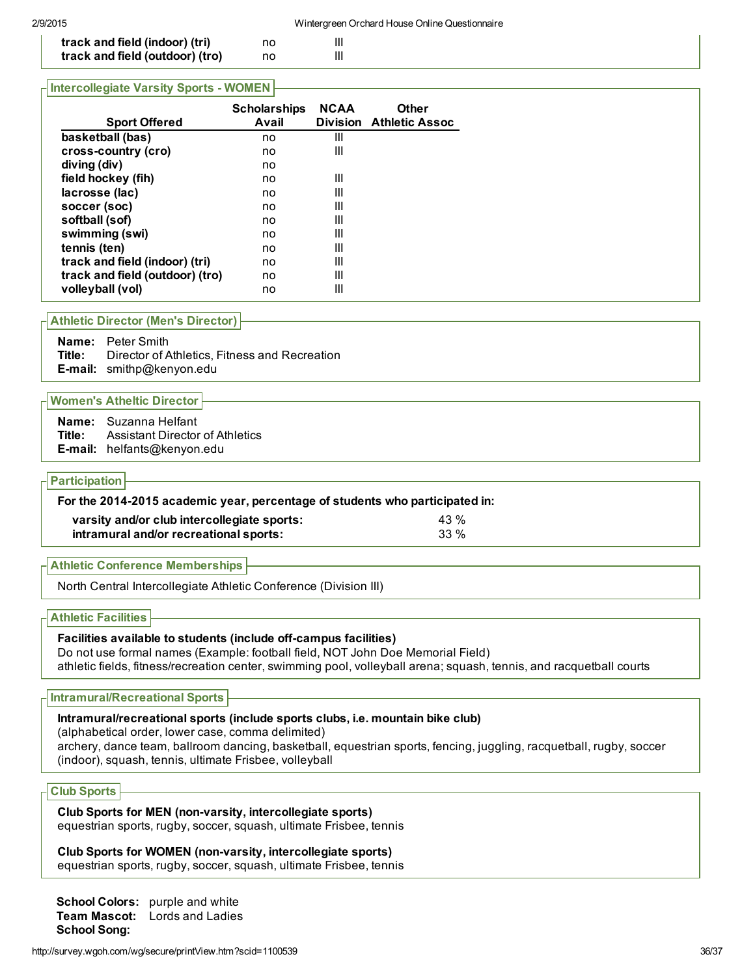| track and field (indoor) (tri)<br>Ш<br>no<br>track and field (outdoor) (tro)<br>Ш<br>no |  |  |  |
|-----------------------------------------------------------------------------------------|--|--|--|
|                                                                                         |  |  |  |

#### **Intercollegiate Varsity Sports - WOMEN**

| <b>Sport Offered</b>            | <b>Scholarships</b><br>Avail | <b>NCAA</b> | <b>Other</b><br><b>Division Athletic Assoc</b> |
|---------------------------------|------------------------------|-------------|------------------------------------------------|
| basketball (bas)                | no                           | Ш           |                                                |
| cross-country (cro)             | no                           | Ш           |                                                |
| diving (div)                    | no                           |             |                                                |
| field hockey (fih)              | no                           | Ш           |                                                |
| lacrosse (lac)                  | no                           | Ш           |                                                |
| soccer (soc)                    | no                           | Ш           |                                                |
| softball (sof)                  | no                           | Ш           |                                                |
| swimming (swi)                  | no                           | Ш           |                                                |
| tennis (ten)                    | no                           | Ш           |                                                |
| track and field (indoor) (tri)  | no                           | Ш           |                                                |
| track and field (outdoor) (tro) | no                           | Ш           |                                                |
| volleyball (vol)                | no                           | Ш           |                                                |

#### Athletic Director (Men's Director)

Name: Peter Smith Title: Director of Athletics, Fitness and Recreation E-mail: smithp@kenyon.edu

#### Women's Atheltic Director

| <b>Name:</b> Suzanna Helfant                  |
|-----------------------------------------------|
| <b>Title:</b> Assistant Director of Athletics |
| E-mail: helfants@kenyon.edu                   |

#### **Participation**

#### For the 2014-2015 academic year, percentage of students who participated in:

| varsity and/or club intercollegiate sports: | 43 % |
|---------------------------------------------|------|
| intramural and/or recreational sports:      | 33 % |

Athletic Conference Memberships

North Central Intercollegiate Athletic Conference (Division III)

Athletic Facilities

#### Facilities available to students (include off-campus facilities)

Do not use formal names (Example: football field, NOT John Doe Memorial Field) athletic fields, fitness/recreation center, swimming pool, volleyball arena; squash, tennis, and racquetball courts

#### Intramural/Recreational Sports

#### Intramural/recreational sports (include sports clubs, i.e. mountain bike club)

(alphabetical order, lower case, comma delimited)

archery, dance team, ballroom dancing, basketball, equestrian sports, fencing, juggling, racquetball, rugby, soccer (indoor), squash, tennis, ultimate Frisbee, volleyball

## Club Sports

Club Sports for MEN (non-varsity, intercollegiate sports) equestrian sports, rugby, soccer, squash, ultimate Frisbee, tennis

Club Sports for WOMEN (non-varsity, intercollegiate sports) equestrian sports, rugby, soccer, squash, ultimate Frisbee, tennis

School Colors: purple and white Team Mascot: Lords and Ladies School Song: